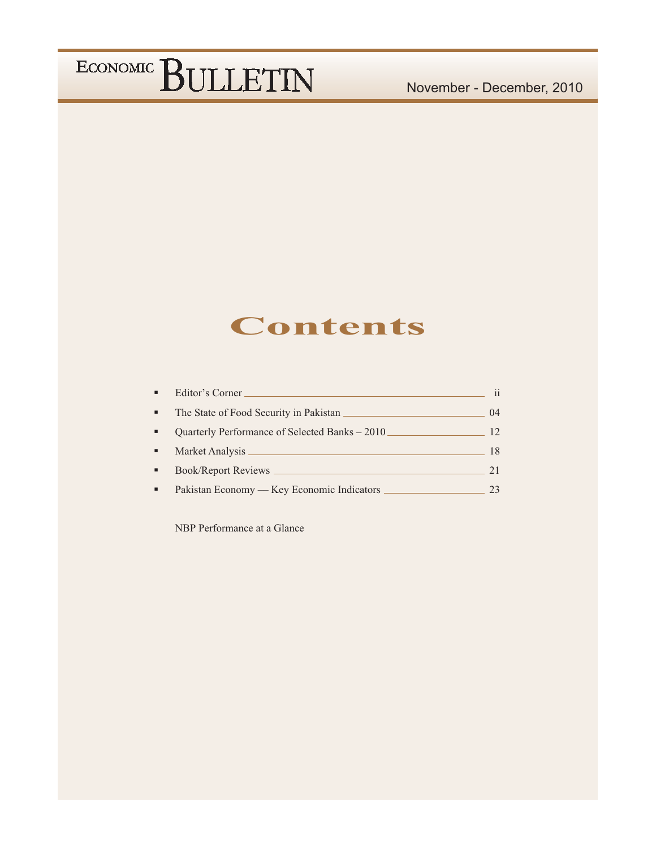### **Contents**

| Editor's Corner                                | $\mathbf{ii}$ |
|------------------------------------------------|---------------|
| The State of Food Security in Pakistan         | (14)          |
| Quarterly Performance of Selected Banks - 2010 | 12            |
|                                                | 18            |
| <b>Book/Report Reviews</b>                     | 21            |
| Pakistan Economy — Key Economic Indicators     | 23            |

NBP Performance at a Glance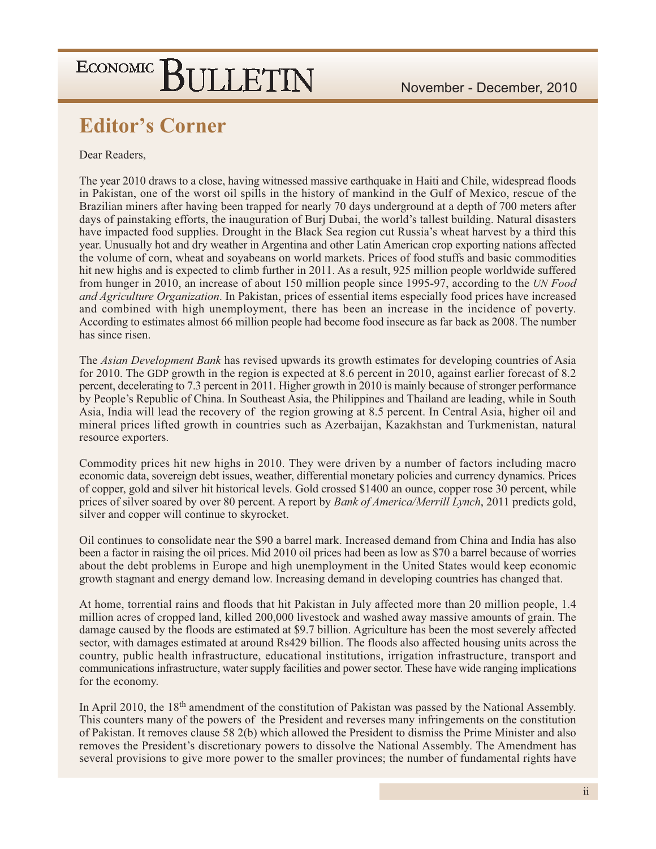### **Editor's Corner**

Dear Readers,

The year 2010 draws to a close, having witnessed massive earthquake in Haiti and Chile, widespread floods in Pakistan, one of the worst oil spills in the history of mankind in the Gulf of Mexico, rescue of the Brazilian miners after having been trapped for nearly 70 days underground at a depth of 700 meters after days of painstaking efforts, the inauguration of Burj Dubai, the world's tallest building. Natural disasters have impacted food supplies. Drought in the Black Sea region cut Russia's wheat harvest by a third this year. Unusually hot and dry weather in Argentina and other Latin American crop exporting nations affected the volume of corn, wheat and sovabeans on world markets. Prices of food stuffs and basic commodities hit new highs and is expected to climb further in 2011. As a result, 925 million people worldwide suffered from hunger in 2010, an increase of about 150 million people since 1995-97, according to the UN Food and Agriculture Organization. In Pakistan, prices of essential items especially food prices have increased and combined with high unemployment, there has been an increase in the incidence of poverty. According to estimates almost 66 million people had become food insecure as far back as 2008. The number has since risen.

The Asian Development Bank has revised upwards its growth estimates for developing countries of Asia for 2010. The GDP growth in the region is expected at 8.6 percent in 2010, against earlier forecast of 8.2 percent, decelerating to 7.3 percent in 2011. Higher growth in 2010 is mainly because of stronger performance by People's Republic of China. In Southeast Asia, the Philippines and Thailand are leading, while in South Asia, India will lead the recovery of the region growing at 8.5 percent. In Central Asia, higher oil and mineral prices lifted growth in countries such as Azerbaijan, Kazakhstan and Turkmenistan, natural resource exporters.

Commodity prices hit new highs in 2010. They were driven by a number of factors including macro economic data, sovereign debt issues, weather, differential monetary policies and currency dynamics. Prices of copper, gold and silver hit historical levels. Gold crossed \$1400 an ounce, copper rose 30 percent, while prices of silver soared by over 80 percent. A report by *Bank of America/Merrill Lynch*, 2011 predicts gold, silver and copper will continue to skyrocket.

Oil continues to consolidate near the \$90 a barrel mark. Increased demand from China and India has also been a factor in raising the oil prices. Mid 2010 oil prices had been as low as \$70 a barrel because of worries about the debt problems in Europe and high unemployment in the United States would keep economic growth stagnant and energy demand low. Increasing demand in developing countries has changed that.

At home, torrential rains and floods that hit Pakistan in July affected more than 20 million people, 1.4 million acres of cropped land, killed 200,000 livestock and washed away massive amounts of grain. The damage caused by the floods are estimated at \$9.7 billion. Agriculture has been the most severely affected sector, with damages estimated at around Rs429 billion. The floods also affected housing units across the country, public health infrastructure, educational institutions, irrigation infrastructure, transport and communications infrastructure, water supply facilities and power sector. These have wide ranging implications for the economy.

In April 2010, the 18<sup>th</sup> amendment of the constitution of Pakistan was passed by the National Assembly. This counters many of the powers of the President and reverses many infringements on the constitution of Pakistan. It removes clause 58 2(b) which allowed the President to dismiss the Prime Minister and also removes the President's discretionary powers to dissolve the National Assembly. The Amendment has several provisions to give more power to the smaller provinces; the number of fundamental rights have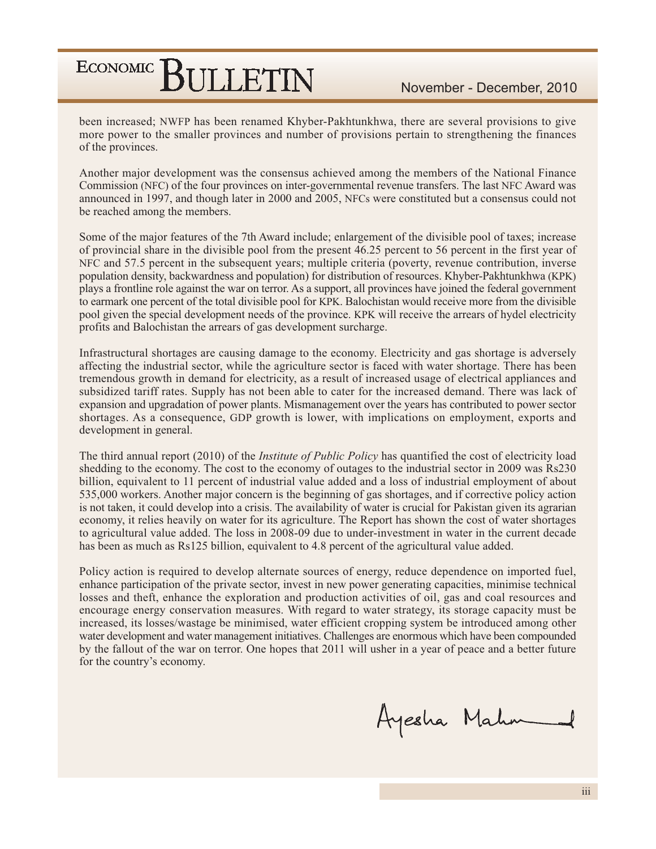been increased; NWFP has been renamed Khyber-Pakhtunkhwa, there are several provisions to give more power to the smaller provinces and number of provisions pertain to strengthening the finances of the provinces.

Another major development was the consensus achieved among the members of the National Finance Commission (NFC) of the four provinces on inter-governmental revenue transfers. The last NFC Award was announced in 1997, and though later in 2000 and 2005, NFCs were constituted but a consensus could not be reached among the members.

Some of the major features of the 7th Award include; enlargement of the divisible pool of taxes; increase of provincial share in the divisible pool from the present 46.25 percent to 56 percent in the first year of NFC and 57.5 percent in the subsequent years; multiple criteria (poverty, revenue contribution, inverse population density, backwardness and population) for distribution of resources. Khyber-Pakhtunkhwa (KPK) plays a frontline role against the war on terror. As a support, all provinces have joined the federal government to earmark one percent of the total divisible pool for KPK. Balochistan would receive more from the divisible pool given the special development needs of the province. KPK will receive the arrears of hydel electricity profits and Balochistan the arrears of gas development surcharge.

Infrastructural shortages are causing damage to the economy. Electricity and gas shortage is adversely affecting the industrial sector, while the agriculture sector is faced with water shortage. There has been tremendous growth in demand for electricity, as a result of increased usage of electrical appliances and subsidized tariff rates. Supply has not been able to cater for the increased demand. There was lack of expansion and upgradation of power plants. Mismanagement over the years has contributed to power sector shortages. As a consequence, GDP growth is lower, with implications on employment, exports and development in general.

The third annual report (2010) of the *Institute of Public Policy* has quantified the cost of electricity load shedding to the economy. The cost to the economy of outages to the industrial sector in 2009 was Rs230 billion, equivalent to 11 percent of industrial value added and a loss of industrial employment of about 535,000 workers. Another major concern is the beginning of gas shortages, and if corrective policy action is not taken, it could develop into a crisis. The availability of water is crucial for Pakistan given its agrarian economy, it relies heavily on water for its agriculture. The Report has shown the cost of water shortages to agricultural value added. The loss in 2008-09 due to under-investment in water in the current decade has been as much as Rs125 billion, equivalent to 4.8 percent of the agricultural value added.

Policy action is required to develop alternate sources of energy, reduce dependence on imported fuel, enhance participation of the private sector, invest in new power generating capacities, minimise technical losses and theft, enhance the exploration and production activities of oil, gas and coal resources and encourage energy conservation measures. With regard to water strategy, its storage capacity must be increased, its losses/wastage be minimised, water efficient cropping system be introduced among other water development and water management initiatives. Challenges are enormous which have been compounded by the fallout of the war on terror. One hopes that 2011 will usher in a year of peace and a better future for the country's economy.

Ayesha Mahn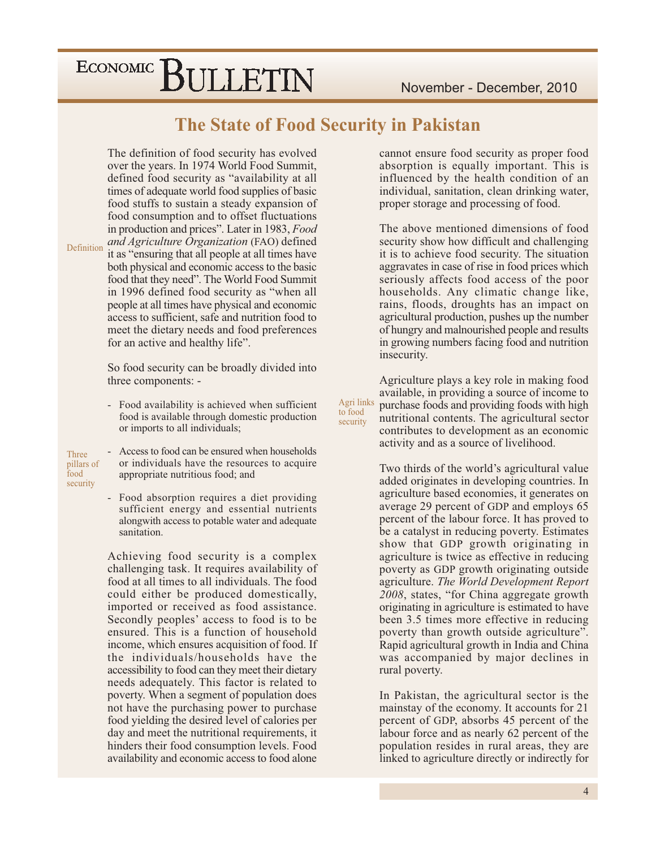#### The State of Food Security in Pakistan

Agri links

to food

security

The definition of food security has evolved over the years. In 1974 World Food Summit, defined food security as "availability at all times of adequate world food supplies of basic food stuffs to sustain a steady expansion of food consumption and to offset fluctuations in production and prices". Later in 1983, Food and Agriculture Organization (FAO) defined Definition it as "ensuring that all people at all times have both physical and economic access to the basic food that they need". The World Food Summit in 1996 defined food security as "when all people at all times have physical and economic access to sufficient, safe and nutrition food to meet the dietary needs and food preferences for an active and healthy life".

> So food security can be broadly divided into three components: -

- $\mathbb{L}^{\mathbb{Z}}$ Food availability is achieved when sufficient food is available through domestic production or imports to all individuals;
- Three pillars of  $\text{load}$ security

Access to food can be ensured when households or individuals have the resources to acquire appropriate nutritious food; and

Food absorption requires a diet providing sufficient energy and essential nutrients alongwith access to potable water and adequate sanitation.

Achieving food security is a complex challenging task. It requires availability of food at all times to all individuals. The food could either be produced domestically, imported or received as food assistance. Secondly peoples' access to food is to be ensured. This is a function of household income, which ensures acquisition of food. If the individuals/households have the accessibility to food can they meet their dietary needs adequately. This factor is related to poverty. When a segment of population does not have the purchasing power to purchase food yielding the desired level of calories per day and meet the nutritional requirements, it hinders their food consumption levels. Food availability and economic access to food alone

cannot ensure food security as proper food absorption is equally important. This is influenced by the health condition of an individual, sanitation, clean drinking water, proper storage and processing of food.

The above mentioned dimensions of food security show how difficult and challenging it is to achieve food security. The situation aggravates in case of rise in food prices which seriously affects food access of the poor households. Any climatic change like, rains, floods, droughts has an impact on agricultural production, pushes up the number of hungry and malnourished people and results in growing numbers facing food and nutrition insecurity.

Agriculture plays a key role in making food available, in providing a source of income to purchase foods and providing foods with high nutritional contents. The agricultural sector contributes to development as an economic activity and as a source of livelihood.

Two thirds of the world's agricultural value added originates in developing countries. In agriculture based economies, it generates on average 29 percent of GDP and employs 65 percent of the labour force. It has proved to be a catalyst in reducing poverty. Estimates show that GDP growth originating in agriculture is twice as effective in reducing poverty as GDP growth originating outside agriculture. The World Development Report 2008, states, "for China aggregate growth originating in agriculture is estimated to have been 3.5 times more effective in reducing poverty than growth outside agriculture". Rapid agricultural growth in India and China was accompanied by major declines in rural poverty.

In Pakistan, the agricultural sector is the mainstay of the economy. It accounts for 21 percent of GDP, absorbs 45 percent of the labour force and as nearly 62 percent of the population resides in rural areas, they are linked to agriculture directly or indirectly for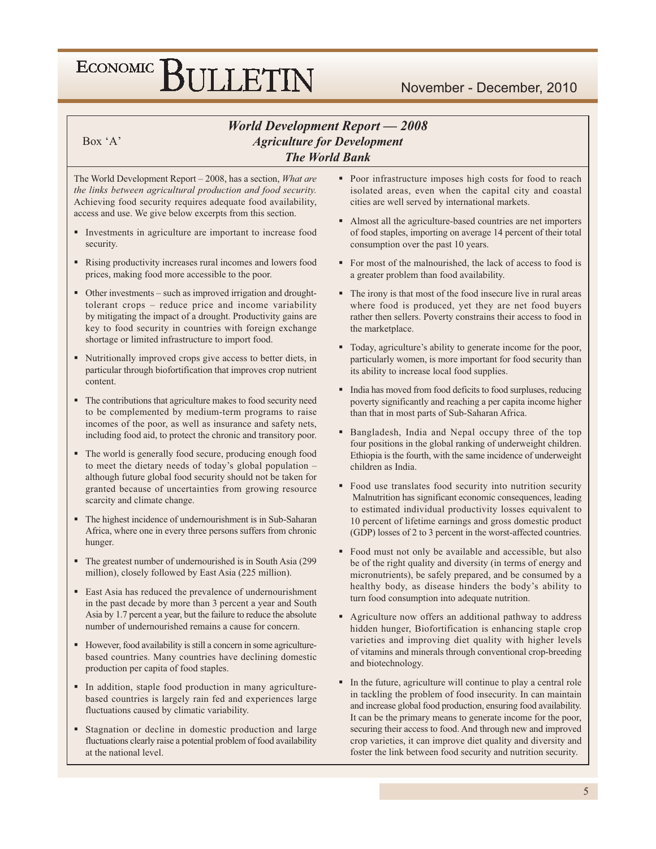#### **World Development Report - 2008 Agriculture for Development The World Bank**

Box $A$ 

The World Development Report – 2008, has a section, *What are* the links between agricultural production and food security. Achieving food security requires adequate food availability, access and use. We give below excerpts from this section.

- Investments in agriculture are important to increase food security.
- Rising productivity increases rural incomes and lowers food prices, making food more accessible to the poor.
- Other investments such as improved irrigation and droughttolerant crops - reduce price and income variability by mitigating the impact of a drought. Productivity gains are key to food security in countries with foreign exchange shortage or limited infrastructure to import food.
- Nutritionally improved crops give access to better diets, in particular through biofortification that improves crop nutrient content.
- The contributions that agriculture makes to food security need to be complemented by medium-term programs to raise incomes of the poor, as well as insurance and safety nets, including food aid, to protect the chronic and transitory poor.
- The world is generally food secure, producing enough food to meet the dietary needs of today's global population although future global food security should not be taken for granted because of uncertainties from growing resource scarcity and climate change.
- The highest incidence of undernourishment is in Sub-Saharan Africa, where one in every three persons suffers from chronic hunger.
- The greatest number of undernourished is in South Asia (299) million), closely followed by East Asia (225 million).
- East Asia has reduced the prevalence of undernourishment in the past decade by more than 3 percent a year and South Asia by 1.7 percent a year, but the failure to reduce the absolute number of undernourished remains a cause for concern.
- However, food availability is still a concern in some agriculturebased countries. Many countries have declining domestic production per capita of food staples.
- In addition, staple food production in many agriculturebased countries is largely rain fed and experiences large fluctuations caused by climatic variability.
- Stagnation or decline in domestic production and large fluctuations clearly raise a potential problem of food availability at the national level.
- Poor infrastructure imposes high costs for food to reach isolated areas, even when the capital city and coastal cities are well served by international markets.
- Almost all the agriculture-based countries are net importers of food staples, importing on average 14 percent of their total consumption over the past 10 years.
- For most of the malnourished, the lack of access to food is a greater problem than food availability.
- The irony is that most of the food insecure live in rural areas where food is produced, yet they are net food buyers rather then sellers. Poverty constrains their access to food in the marketplace.
- Today, agriculture's ability to generate income for the poor, particularly women, is more important for food security than its ability to increase local food supplies.
- India has moved from food deficits to food surpluses, reducing poverty significantly and reaching a per capita income higher than that in most parts of Sub-Saharan Africa.
- Bangladesh, India and Nepal occupy three of the top four positions in the global ranking of underweight children. Ethiopia is the fourth, with the same incidence of underweight children as India.
- Food use translates food security into nutrition security Malnutrition has significant economic consequences, leading to estimated individual productivity losses equivalent to 10 percent of lifetime earnings and gross domestic product (GDP) losses of 2 to 3 percent in the worst-affected countries.
- Food must not only be available and accessible, but also be of the right quality and diversity (in terms of energy and micronutrients), be safely prepared, and be consumed by a healthy body, as disease hinders the body's ability to turn food consumption into adequate nutrition.
- Agriculture now offers an additional pathway to address hidden hunger, Biofortification is enhancing staple crop varieties and improving diet quality with higher levels of vitamins and minerals through conventional crop-breeding and biotechnology.
- In the future, agriculture will continue to play a central role in tackling the problem of food insecurity. In can maintain and increase global food production, ensuring food availability. It can be the primary means to generate income for the poor, securing their access to food. And through new and improved crop varieties, it can improve diet quality and diversity and foster the link between food security and nutrition security.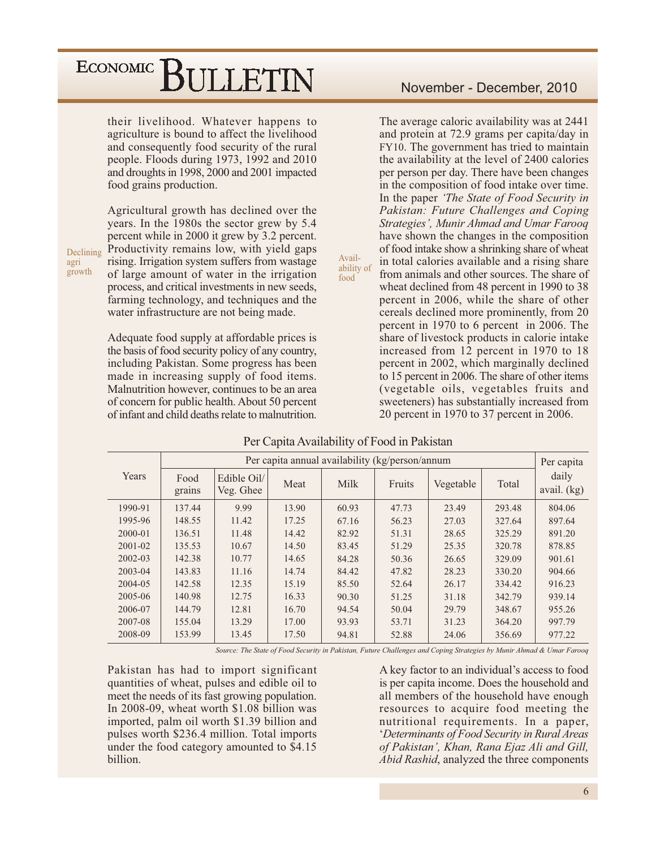their livelihood. Whatever happens to agriculture is bound to affect the livelihood and consequently food security of the rural people. Floods during 1973, 1992 and 2010 and droughts in 1998, 2000 and 2001 impacted food grains production.

Agricultural growth has declined over the years. In the 1980s the sector grew by 5.4 percent while in 2000 it grew by 3.2 percent. Productivity remains low, with yield gaps rising. Irrigation system suffers from wastage of large amount of water in the irrigation process, and critical investments in new seeds, farming technology, and techniques and the water infrastructure are not being made.

Adequate food supply at affordable prices is the basis of food security policy of any country, including Pakistan. Some progress has been made in increasing supply of food items. Malnutrition however, continues to be an area of concern for public health. About 50 percent of infant and child deaths relate to malnutrition.

The average caloric availability was at 2441 and protein at 72.9 grams per capita/day in FY10. The government has tried to maintain the availability at the level of 2400 calories per person per day. There have been changes in the composition of food intake over time. In the paper 'The State of Food Security in Pakistan: Future Challenges and Coping Strategies', Munir Ahmad and Umar Farooq have shown the changes in the composition of food intake show a shrinking share of wheat in total calories available and a rising share ability of from animals and other sources. The share of wheat declined from 48 percent in 1990 to 38 percent in 2006, while the share of other cereals declined more prominently, from 20 percent in 1970 to 6 percent in 2006. The share of livestock products in calorie intake increased from 12 percent in 1970 to 18 percent in 2002, which marginally declined to 15 percent in 2006. The share of other items (vegetable oils, vegetables fruits and sweeteners) has substantially increased from 20 percent in 1970 to 37 percent in 2006.

|         |                |                          |       | Per capita annual availability (kg/person/annum |        |           |        | Per capita           |
|---------|----------------|--------------------------|-------|-------------------------------------------------|--------|-----------|--------|----------------------|
| Years   | Food<br>grains | Edible Oil/<br>Veg. Ghee | Meat  | Milk                                            | Fruits | Vegetable | Total  | daily<br>avail. (kg) |
| 1990-91 | 137.44         | 9.99                     | 13.90 | 60.93                                           | 47.73  | 23.49     | 293.48 | 804.06               |
| 1995-96 | 148.55         | 11.42                    | 17.25 | 67.16                                           | 56.23  | 27.03     | 327.64 | 897.64               |
| 2000-01 | 136.51         | 11.48                    | 14.42 | 82.92                                           | 51.31  | 28.65     | 325.29 | 891.20               |
| 2001-02 | 135.53         | 10.67                    | 14.50 | 83.45                                           | 51.29  | 25.35     | 320.78 | 878.85               |
| 2002-03 | 142.38         | 10.77                    | 14.65 | 84.28                                           | 50.36  | 26.65     | 329.09 | 901.61               |
| 2003-04 | 143.83         | 11.16                    | 14.74 | 84.42                                           | 47.82  | 28.23     | 330.20 | 904.66               |
| 2004-05 | 142.58         | 12.35                    | 15.19 | 85.50                                           | 52.64  | 26.17     | 334.42 | 916.23               |
| 2005-06 | 140.98         | 12.75                    | 16.33 | 90.30                                           | 51.25  | 31.18     | 342.79 | 939.14               |
| 2006-07 | 144.79         | 12.81                    | 16.70 | 94.54                                           | 50.04  | 29.79     | 348.67 | 955.26               |
| 2007-08 | 155.04         | 13.29                    | 17.00 | 93.93                                           | 53.71  | 31.23     | 364.20 | 997.79               |
| 2008-09 | 153.99         | 13.45                    | 17.50 | 94.81                                           | 52.88  | 24.06     | 356.69 | 977.22               |

#### Per Capita Availability of Food in Pakistan

Avail-

food

Source: The State of Food Security in Pakistan, Future Challenges and Coping Strategies by Munir Ahmad & Umar Farooq

Pakistan has had to import significant quantities of wheat, pulses and edible oil to meet the needs of its fast growing population. In 2008-09, wheat worth \$1.08 billion was imported, palm oil worth \$1.39 billion and pulses worth \$236.4 million. Total imports under the food category amounted to \$4.15 hillion

A key factor to an individual's access to food is per capita income. Does the household and all members of the household have enough resources to acquire food meeting the nutritional requirements. In a paper, *'Determinants of Food Security in Rural Areas'* of Pakistan', Khan, Rana Ejaz Ali and Gill, Abid Rashid, analyzed the three components

Declining agri growth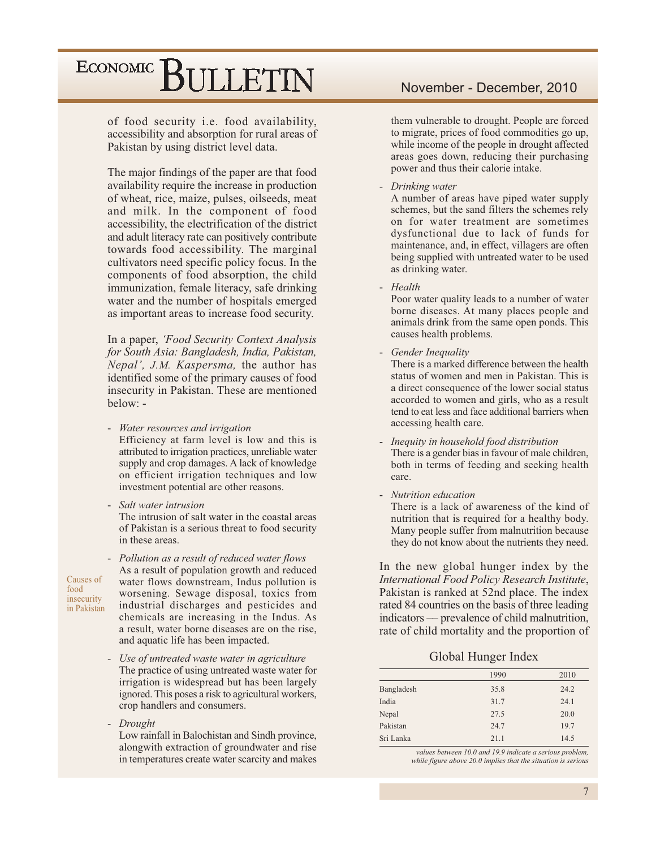of food security i.e. food availability, accessibility and absorption for rural areas of Pakistan by using district level data.

The major findings of the paper are that food availability require the increase in production of wheat, rice, maize, pulses, oilseeds, meat and milk. In the component of food accessibility, the electrification of the district and adult literacy rate can positively contribute towards food accessibility. The marginal cultivators need specific policy focus. In the components of food absorption, the child immunization, female literacy, safe drinking water and the number of hospitals emerged as important areas to increase food security.

In a paper, 'Food Security Context Analysis for South Asia: Bangladesh, India, Pakistan, Nepal', J.M. Kaspersma, the author has identified some of the primary causes of food insecurity in Pakistan. These are mentioned below: -

- Water resources and irrigation  $\mathbf{r}$ Efficiency at farm level is low and this is attributed to irrigation practices, unreliable water supply and crop damages. A lack of knowledge on efficient irrigation techniques and low investment potential are other reasons.
- Salt water intrusion

The intrusion of salt water in the coastal areas of Pakistan is a serious threat to food security in these areas.

Causes of food insecurity in Pakistan

- Pollution as a result of reduced water flows As a result of population growth and reduced water flows downstream, Indus pollution is worsening. Sewage disposal, toxics from industrial discharges and pesticides and chemicals are increasing in the Indus. As a result, water borne diseases are on the rise, and aquatic life has been impacted.

- Use of untreated waste water in agriculture The practice of using untreated waste water for irrigation is widespread but has been largely ignored. This poses a risk to agricultural workers, crop handlers and consumers.
- Drought Low rainfall in Balochistan and Sindh province, alongwith extraction of groundwater and rise in temperatures create water scarcity and makes

#### November - December, 2010

them vulnerable to drought. People are forced to migrate, prices of food commodities go up, while income of the people in drought affected areas goes down, reducing their purchasing power and thus their calorie intake.

- Drinking water

A number of areas have piped water supply schemes, but the sand filters the schemes rely on for water treatment are sometimes dysfunctional due to lack of funds for maintenance, and, in effect, villagers are often being supplied with untreated water to be used as drinking water.

- Health

Poor water quality leads to a number of water borne diseases. At many places people and animals drink from the same open ponds. This causes health problems.

- Gender Inequality There is a marked difference between the health status of women and men in Pakistan. This is a direct consequence of the lower social status accorded to women and girls, who as a result tend to eat less and face additional barriers when
- Inequity in household food distribution There is a gender bias in favour of male children, both in terms of feeding and seeking health care.
- Nutrition education

accessing health care.

There is a lack of awareness of the kind of nutrition that is required for a healthy body. Many people suffer from malnutrition because they do not know about the nutrients they need.

In the new global hunger index by the International Food Policy Research Institute, Pakistan is ranked at 52nd place. The index rated 84 countries on the basis of three leading indicators — prevalence of child malnutrition, rate of child mortality and the proportion of

Global Hunger Index

|            | 1990 | 2010 |
|------------|------|------|
| Bangladesh | 35.8 | 24.2 |
| India      | 31.7 | 24.1 |
| Nepal      | 27.5 | 20.0 |
| Pakistan   | 24.7 | 19.7 |
| Sri Lanka  | 21.1 | 14.5 |

values between 10.0 and 19.9 indicate a serious problem, while figure above 20.0 implies that the situation is serious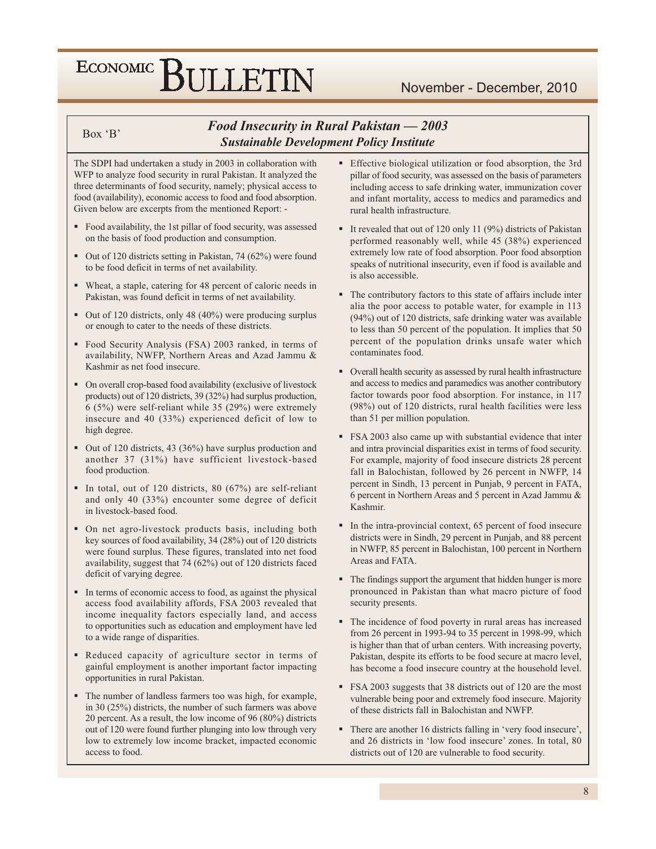#### $Box 'B'$

#### Food Insecurity in Rural Pakistan - 2003 **Sustainable Development Policy Institute**

The SDPI had undertaken a study in 2003 in collaboration with WFP to analyze food security in rural Pakistan. It analyzed the three determinants of food security, namely; physical access to food (availability), economic access to food and food absorption. Given below are excerpts from the mentioned Report: -

- Food availability, the 1st pillar of food security, was assessed on the basis of food production and consumption.
- Out of 120 districts setting in Pakistan, 74 (62%) were found to be food deficit in terms of net availability.
- Wheat, a staple, catering for 48 percent of caloric needs in Pakistan, was found deficit in terms of net availability.
- Out of 120 districts, only 48 (40%) were producing surplus or enough to cater to the needs of these districts.
- Food Security Analysis (FSA) 2003 ranked, in terms of availability, NWFP, Northern Areas and Azad Jammu & Kashmir as net food insecure.
- On overall crop-based food availability (exclusive of livestock products) out of 120 districts, 39 (32%) had surplus production, 6 (5%) were self-reliant while 35 (29%) were extremely insecure and 40 (33%) experienced deficit of low to high degree.
- Out of 120 districts, 43 (36%) have surplus production and another 37 (31%) have sufficient livestock-based food production.
- In total, out of 120 districts, 80 (67%) are self-reliant and only 40 (33%) encounter some degree of deficit in livestock-based food.
- On net agro-livestock products basis, including both key sources of food availability, 34 (28%) out of 120 districts were found surplus. These figures, translated into net food availability, suggest that 74 (62%) out of 120 districts faced deficit of varying degree.
- In terms of economic access to food, as against the physical access food availability affords, FSA 2003 revealed that income inequality factors especially land, and access to opportunities such as education and employment have led to a wide range of disparities.
- Reduced capacity of agriculture sector in terms of gainful employment is another important factor impacting opportunities in rural Pakistan.
- The number of landless farmers too was high, for example, in 30  $(25%)$  districts, the number of such farmers was above 20 percent. As a result, the low income of 96 (80%) districts out of 120 were found further plunging into low through very low to extremely low income bracket, impacted economic access to food.
- Effective biological utilization or food absorption, the 3rd pillar of food security, was assessed on the basis of parameters including access to safe drinking water, immunization cover and infant mortality, access to medics and paramedics and rural health infrastructure.
- It revealed that out of 120 only 11 (9%) districts of Pakistan performed reasonably well, while 45 (38%) experienced extremely low rate of food absorption. Poor food absorption speaks of nutritional insecurity, even if food is available and is also accessible.
- The contributory factors to this state of affairs include inter alia the poor access to potable water, for example in 113 (94%) out of 120 districts, safe drinking water was available to less than 50 percent of the population. It implies that 50 percent of the population drinks unsafe water which contaminates food.
- Overall health security as assessed by rural health infrastructure and access to medics and paramedics was another contributory factor towards poor food absorption. For instance, in 117 (98%) out of 120 districts, rural health facilities were less than 51 per million population.
- FSA 2003 also came up with substantial evidence that inter and intra provincial disparities exist in terms of food security. For example, majority of food insecure districts 28 percent fall in Balochistan, followed by 26 percent in NWFP, 14 percent in Sindh, 13 percent in Punjab, 9 percent in FATA, 6 percent in Northern Areas and 5 percent in Azad Jammu & Kashmir.
- In the intra-provincial context, 65 percent of food insecure districts were in Sindh, 29 percent in Punjab, and 88 percent in NWFP, 85 percent in Balochistan, 100 percent in Northern Areas and FATA.
- The findings support the argument that hidden hunger is more pronounced in Pakistan than what macro picture of food security presents.
- The incidence of food poverty in rural areas has increased from 26 percent in 1993-94 to 35 percent in 1998-99, which is higher than that of urban centers. With increasing poverty, Pakistan, despite its efforts to be food secure at macro level, has become a food insecure country at the household level.
- FSA 2003 suggests that 38 districts out of 120 are the most vulnerable being poor and extremely food insecure. Majority of these districts fall in Balochistan and NWFP.
- There are another 16 districts falling in 'very food insecure', and 26 districts in 'low food insecure' zones. In total, 80 districts out of 120 are vulnerable to food security.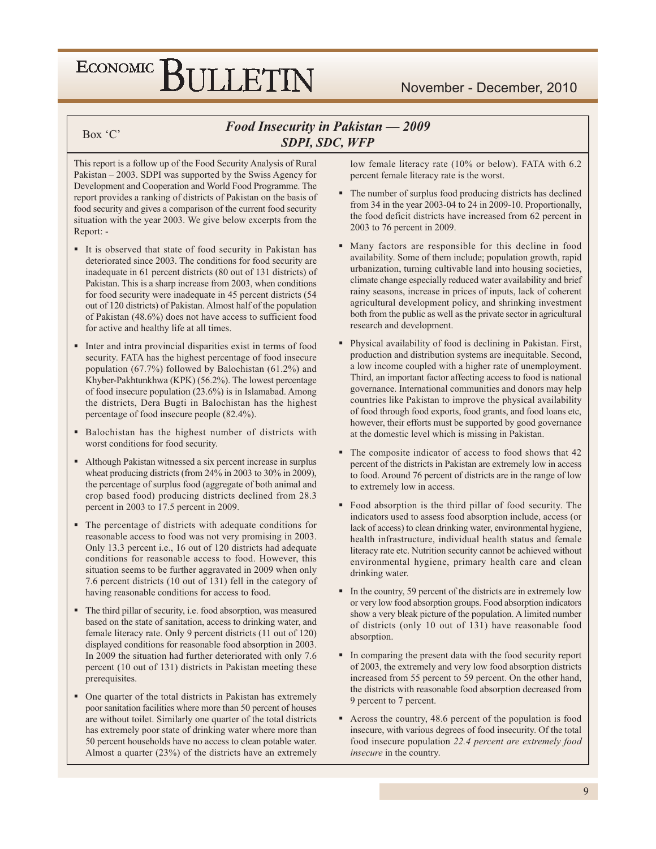#### November - December, 2010

#### Box 'C'

#### Food Insecurity in Pakistan - 2009 SDPI, SDC, WFP

This report is a follow up of the Food Security Analysis of Rural Pakistan  $-2003$ . SDPI was supported by the Swiss Agency for Development and Cooperation and World Food Programme. The report provides a ranking of districts of Pakistan on the basis of food security and gives a comparison of the current food security situation with the year 2003. We give below excerpts from the Report: -

- It is observed that state of food security in Pakistan has deteriorated since 2003. The conditions for food security are inadequate in 61 percent districts (80 out of 131 districts) of Pakistan. This is a sharp increase from 2003, when conditions for food security were inadequate in 45 percent districts (54 out of 120 districts) of Pakistan. Almost half of the population of Pakistan (48.6%) does not have access to sufficient food for active and healthy life at all times.
- Inter and intra provincial disparities exist in terms of food security. FATA has the highest percentage of food insecure population (67.7%) followed by Balochistan (61.2%) and Khyber-Pakhtunkhwa (KPK) (56.2%). The lowest percentage of food insecure population (23.6%) is in Islamabad. Among the districts, Dera Bugti in Balochistan has the highest percentage of food insecure people (82.4%).
- Balochistan has the highest number of districts with worst conditions for food security.
- Although Pakistan witnessed a six percent increase in surplus wheat producing districts (from  $24\%$  in 2003 to 30% in 2009). the percentage of surplus food (aggregate of both animal and crop based food) producing districts declined from 28.3 percent in 2003 to 17.5 percent in 2009.
- The percentage of districts with adequate conditions for reasonable access to food was not very promising in 2003. Only 13.3 percent i.e., 16 out of 120 districts had adequate conditions for reasonable access to food. However, this situation seems to be further aggravated in 2009 when only 7.6 percent districts (10 out of 131) fell in the category of having reasonable conditions for access to food.
- The third pillar of security, i.e. food absorption, was measured based on the state of sanitation, access to drinking water, and female literacy rate. Only 9 percent districts (11 out of 120) displayed conditions for reasonable food absorption in 2003. In 2009 the situation had further deteriorated with only 7.6 percent (10 out of 131) districts in Pakistan meeting these prerequisites.
- One quarter of the total districts in Pakistan has extremely poor sanitation facilities where more than 50 percent of houses are without toilet. Similarly one quarter of the total districts has extremely poor state of drinking water where more than 50 percent households have no access to clean potable water. Almost a quarter  $(23%)$  of the districts have an extremely

low female literacy rate (10% or below). FATA with 6.2 percent female literacy rate is the worst.

- The number of surplus food producing districts has declined from 34 in the year 2003-04 to 24 in 2009-10. Proportionally, the food deficit districts have increased from 62 percent in 2003 to 76 percent in 2009.
- Many factors are responsible for this decline in food availability. Some of them include; population growth, rapid urbanization, turning cultivable land into housing societies, climate change especially reduced water availability and brief rainy seasons, increase in prices of inputs, lack of coherent agricultural development policy, and shrinking investment both from the public as well as the private sector in agricultural research and development.
- Physical availability of food is declining in Pakistan. First, production and distribution systems are inequitable. Second, a low income coupled with a higher rate of unemployment. Third, an important factor affecting access to food is national governance. International communities and donors may help countries like Pakistan to improve the physical availability of food through food exports, food grants, and food loans etc, however, their efforts must be supported by good governance at the domestic level which is missing in Pakistan.
- The composite indicator of access to food shows that 42 percent of the districts in Pakistan are extremely low in access to food. Around 76 percent of districts are in the range of low to extremely low in access.
- Food absorption is the third pillar of food security. The indicators used to assess food absorption include, access (or lack of access) to clean drinking water, environmental hygiene, health infrastructure, individual health status and female literacy rate etc. Nutrition security cannot be achieved without environmental hygiene, primary health care and clean drinking water.
- In the country, 59 percent of the districts are in extremely low or very low food absorption groups. Food absorption indicators show a very bleak picture of the population. A limited number of districts (only 10 out of 131) have reasonable food absorption.
- In comparing the present data with the food security report of 2003, the extremely and very low food absorption districts increased from 55 percent to 59 percent. On the other hand, the districts with reasonable food absorption decreased from 9 percent to 7 percent.
- Across the country, 48.6 percent of the population is food insecure, with various degrees of food insecurity. Of the total food insecure population 22.4 percent are extremely food insecure in the country.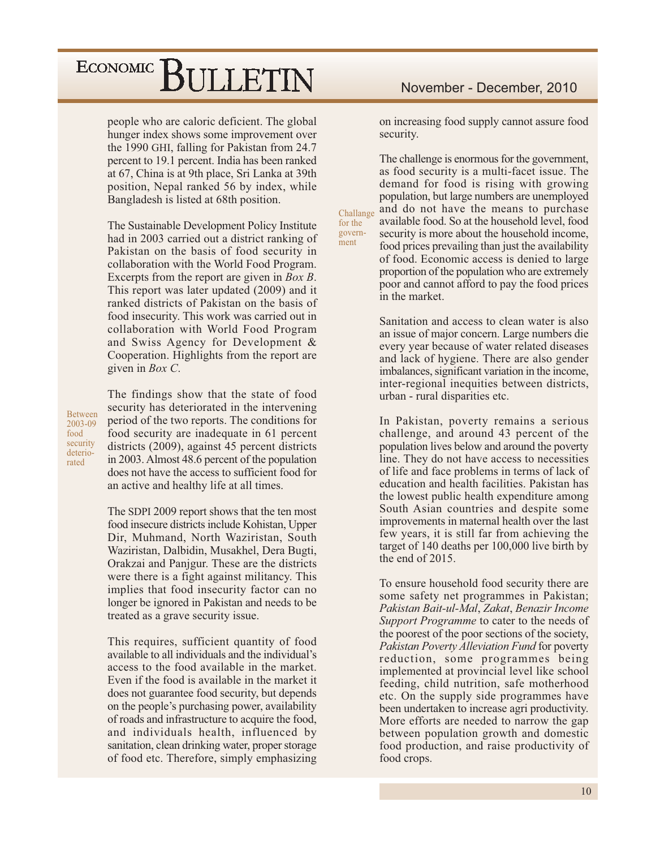people who are caloric deficient. The global hunger index shows some improvement over the 1990 GHI, falling for Pakistan from 24.7 percent to 19.1 percent. India has been ranked at 67, China is at 9th place, Sri Lanka at 39th position, Nepal ranked 56 by index, while Bangladesh is listed at 68th position.

The Sustainable Development Policy Institute had in 2003 carried out a district ranking of Pakistan on the basis of food security in collaboration with the World Food Program. Excerpts from the report are given in  $Box B$ . This report was later updated (2009) and it ranked districts of Pakistan on the basis of food insecurity. This work was carried out in collaboration with World Food Program and Swiss Agency for Development & Cooperation. Highlights from the report are given in  $Box C$ .

**Between** 2003-09 food security deteriorated

The findings show that the state of food security has deteriorated in the intervening period of the two reports. The conditions for food security are inadequate in 61 percent districts (2009), against 45 percent districts in 2003. Almost 48.6 percent of the population does not have the access to sufficient food for an active and healthy life at all times.

The SDPI 2009 report shows that the ten most food insecure districts include Kohistan, Upper Dir, Muhmand, North Waziristan, South Waziristan, Dalbidin, Musakhel, Dera Bugti, Orakzai and Panjgur. These are the districts were there is a fight against militancy. This implies that food insecurity factor can no longer be ignored in Pakistan and needs to be treated as a grave security issue.

This requires, sufficient quantity of food available to all individuals and the individual's access to the food available in the market. Even if the food is available in the market it does not guarantee food security, but depends on the people's purchasing power, availability of roads and infrastructure to acquire the food, and individuals health, influenced by sanitation, clean drinking water, proper storage of food etc. Therefore, simply emphasizing

on increasing food supply cannot assure food security.

The challenge is enormous for the government, as food security is a multi-facet issue. The demand for food is rising with growing population, but large numbers are unemployed and do not have the means to purchase Challange available food. So at the household level, food security is more about the household income, food prices prevailing than just the availability of food. Economic access is denied to large proportion of the population who are extremely poor and cannot afford to pay the food prices in the market.

for the

govern-

ment

Sanitation and access to clean water is also an issue of major concern. Large numbers die every year because of water related diseases and lack of hygiene. There are also gender imbalances, significant variation in the income, inter-regional inequities between districts, urban - rural disparities etc.

In Pakistan, poverty remains a serious challenge, and around 43 percent of the population lives below and around the poverty line. They do not have access to necessities of life and face problems in terms of lack of education and health facilities. Pakistan has the lowest public health expenditure among South Asian countries and despite some improvements in maternal health over the last few years, it is still far from achieving the target of 140 deaths per 100,000 live birth by the end of 2015.

To ensure household food security there are some safety net programmes in Pakistan; Pakistan Bait-ul-Mal, Zakat, Benazir Income Support Programme to cater to the needs of the poorest of the poor sections of the society, Pakistan Poverty Alleviation Fund for poverty reduction, some programmes being implemented at provincial level like school feeding, child nutrition, safe motherhood etc. On the supply side programmes have been undertaken to increase agri productivity. More efforts are needed to narrow the gap between population growth and domestic food production, and raise productivity of food crops.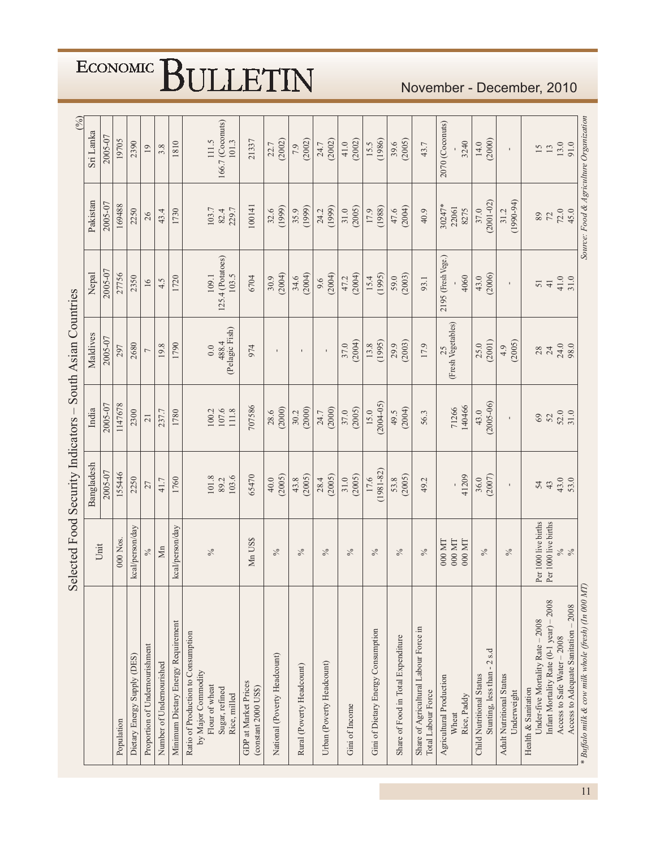|                                                                                                                                   | Selected Food Security Indicators                         | Bangladesh                 | India                     | South Asian Countries<br>Maldives  | Nepal                                    | Pakistan                   | (%)<br>Sri Lanka                                |
|-----------------------------------------------------------------------------------------------------------------------------------|-----------------------------------------------------------|----------------------------|---------------------------|------------------------------------|------------------------------------------|----------------------------|-------------------------------------------------|
|                                                                                                                                   | Unit                                                      |                            |                           |                                    |                                          |                            |                                                 |
|                                                                                                                                   |                                                           | 2005-07                    | 2005-07                   | 2005-07                            | 2005-07                                  | 2005-07                    | 2005-07                                         |
| Population                                                                                                                        | 000 Nos.                                                  | 155446                     | 1147678                   | 297                                | 27756                                    | 169488                     | 19705                                           |
| Dietary Energy Supply (DES)                                                                                                       | kcal/person/day                                           | 2250                       | 2300                      | 2680                               | 2350                                     | 2250                       | 2390                                            |
| Proportion of Undernourishment                                                                                                    | $\%$                                                      | 27                         | $\overline{21}$           | $\overline{ }$                     | 16                                       | 26                         | 19                                              |
| Number of Undernourished                                                                                                          | $\sum_{i=1}^{n}$                                          | 41.7                       | 237.7                     | 19.8                               | 4.5                                      | 43.4                       | 3.8                                             |
| Minimum Dietary Energy Requirement                                                                                                | kcal/person/day                                           | 1760                       | 1780                      | 1790                               | 1720                                     | 1730                       | 1810                                            |
| Ratio of Production to Consumption<br>by Major Commodity<br>Flour of wheat<br>Sugar, refined<br>Rice, milled                      | $\%$                                                      | 103.6<br>$101.8\,$<br>89.2 | 107.6<br>100.2<br>$111.8$ | 488.4<br>(Pelagic Fish)<br>$0.0\,$ | $125.4$ (Potatoes)<br>109.1<br>103.5     | 229.7<br>103.7<br>82.4     | 166.7 (Coconuts)<br>111.5<br>101.3              |
| GDP at Market Prices<br>$(constant 2000$ $USS)$                                                                                   | Mn US\$                                                   | 65470                      | 707586                    | 974                                | 6704                                     | 100141                     | 21337                                           |
| National (Poverty Headcount)                                                                                                      | $\%$                                                      | (2005)<br>40.0             | (2000)<br>28.6            | $\blacksquare$                     | (2004)<br>30.9                           | (1999)<br>32.6             | (2002)<br>22.7                                  |
| Rural (Poverty Headcount)                                                                                                         | $\%$                                                      | (2005)<br>43.8             | (2000)<br>30.2            | $\blacksquare$                     | (2004)<br>34.6                           | (1999)<br>35.9             | (2002)<br>7.9                                   |
| Urban (Poverty Headcount)                                                                                                         | $\%$                                                      | (2005)<br>28.4             | (2000)<br>24.7            |                                    | (2004)<br>9.6                            | (1999)<br>24.2             | (2002)<br>24.7                                  |
| Gini of Income                                                                                                                    | $\%$                                                      | (2005)<br>31.0             | (2005)<br>37.0            | (2004)<br>37.0                     | (2004)<br>47.2                           | (2005)<br>31.0             | (2002)<br>41.0                                  |
| Gini of Dietary Energy Consumption                                                                                                | $\%$                                                      | $17.6$<br>(1981-82)        | $(2004 - 05)$<br>15.0     | (1995)<br>13.8                     | (1995)<br>15.4                           | (1988)<br>17.9             | (1986)<br>15.5                                  |
| Share of Food in Total Expenditure                                                                                                | $\frac{5}{6}$                                             | (2005)<br>53.8             | (2004)<br>49.5            | (2003)<br>29.9                     | (2003)<br>59.0                           | (2004)<br>47.6             | (2005)<br>39.6                                  |
| Share of Agricultural Labour Force in<br>Total Labour Force                                                                       | $\delta_{\rm O}$                                          | 49.2                       | 56.3                      | 17.9                               | 93.1                                     | 40.9                       | 43.7                                            |
| Agricultural Production<br>Rice, Paddy<br>Wheat                                                                                   | 000 MT<br>$000$ MT<br>$000$ MT                            | 41209                      | 140466<br>71266           | (Fresh Vegetables)<br>25           | 2195 (Fresh Vege.)<br>4060               | 30247*<br>22061<br>8275    | 2070 (Coconuts)<br>3240                         |
| Stunting, less than - 2 s.d<br>Child Nutritional Status                                                                           | $\%$                                                      | (2007)<br>36.0             | $(2005 - 06)$<br>43.0     | (2001)<br>25.0                     | (2006)<br>43.0                           | $(2001 - 02)$<br>37.0      | (2000)<br>14.0                                  |
| <b>Adult Nutritional Status</b><br>Underweight                                                                                    | $\%$                                                      | $\mathbf{I}$               | $\mathbf{I}$              | (2005)<br>4.9                      | $\mathbf{I}$                             | $(1990-94)$<br>31.2        | $\mathbf{r}$                                    |
| Infant Mortality Rate (0-1 year) - 2008<br>Under-five Mortality Rate - 2008<br>Access to Safe Water - 2008<br>Health & Sanitation | Per 1000 live births<br>Per 1000 live births<br>$\%$ $\%$ | 43.0<br>43<br>54           | 52.0<br>31.0<br>$69\,$    | 24.0<br>98.0<br>28<br>$24\,$       | $41.0$<br>$31.0$<br>$\overline{4}$<br>51 | $72.0$<br>45.0<br>89<br>72 | 13.0<br>$\tilde{5}$<br>13                       |
| * Buffalo milk & cow milk whole (fresh) (In 000 MT)<br>$-2008$<br>Access to Adequate Sanitation -                                 |                                                           | 53.0                       |                           |                                    |                                          |                            | Source: Food & Agriculture Organization<br>91.0 |

November - December, 2010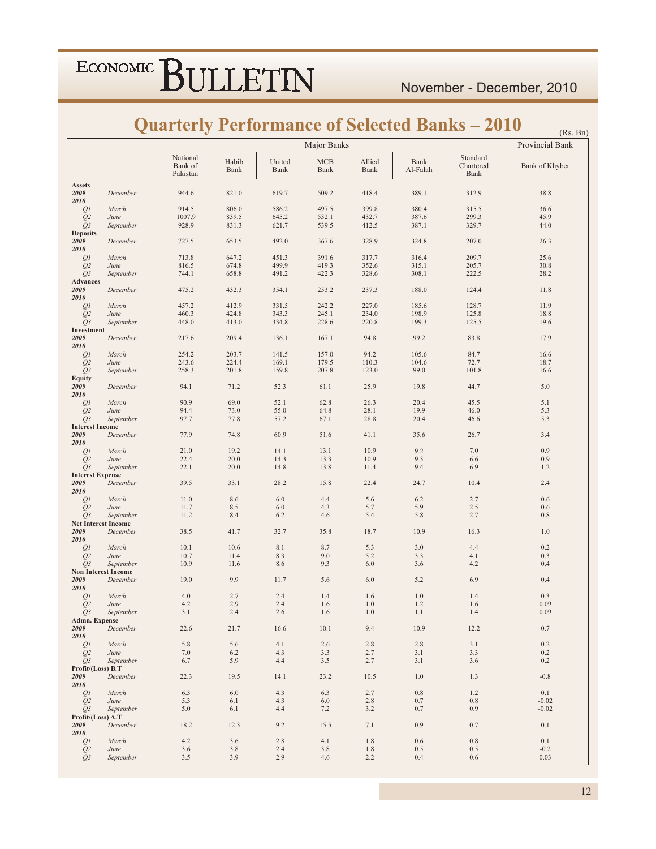$(P_0, R_0)$ 

### **Quarterly Performance of Selected Banks - 2010**

|                         |                            |                                 |               |                | Major Banks  |                |                                                    |                               | (10.5, 10.1)<br>Provincial Bank |
|-------------------------|----------------------------|---------------------------------|---------------|----------------|--------------|----------------|----------------------------------------------------|-------------------------------|---------------------------------|
|                         |                            | National<br>Bank of<br>Pakistan | Habib<br>Bank | United<br>Bank | MCB<br>Bank  | Allied<br>Bank | Bank<br>$\operatorname{Al-}\!\operatorname{Falah}$ | Standard<br>Chartered<br>Bank | Bank of Khyber                  |
| <b>Assets</b>           |                            |                                 |               |                |              |                |                                                    |                               |                                 |
| 2009<br>2010            | December                   | 944.6                           | 821.0         | 619.7          | 509.2        | 418.4          | 389.1                                              | 312.9                         | 38.8                            |
| QI                      | March                      | 914.5                           | 806.0         | 586.2          | 497.5        | 399.8          | 380.4                                              | 315.5                         | 36.6                            |
| $\mathcal{Q}2$          | June                       | 1007.9                          | 839.5         | 645.2          | 532.1        | 432.7          | 387.6                                              | 299.3                         | 45.9                            |
| Q3                      | September                  | 928.9                           | 831.3         | 621.7          | 539.5        | 412.5          | 387.1                                              | 329.7                         | 44.0                            |
| <b>Deposits</b>         |                            |                                 |               |                |              |                |                                                    |                               |                                 |
| 2009<br>2010            | December                   | 727.5                           | 653.5         | 492.0          | 367.6        | 328.9          | 324.8                                              | 207.0                         | 26.3                            |
| QI                      | March                      | 713.8                           | 647.2         | 451.3          | 391.6        | 317.7          | 316.4                                              | 209.7                         | 25.6                            |
| $\mathcal{Q}2$          | June                       | 816.5                           | 674.8         | 499.9          | 419.3        | 352.6          | 315.1                                              | 205.7                         | 30.8                            |
| ${\mathcal{Q}}$ 3       | September                  | 744.1                           | 658.8         | 491.2          | 422.3        | 328.6          | 308.1                                              | 222.5                         | 28.2                            |
| <b>Advances</b>         |                            |                                 |               |                |              |                |                                                    |                               |                                 |
| 2009                    | December                   | 475.2                           | 432.3         | 354.1          | 253.2        | 237.3          | 188.0                                              | 124.4                         | 11.8                            |
| 2010<br>QI              | March                      | 457.2                           | 412.9         | 331.5          | 242.2        | 227.0          | 185.6                                              | 128.7                         | 11.9                            |
| Q2                      | June                       | 460.3                           | 424.8         | 343.3          | 245.1        | 234.0          | 198.9                                              | 125.8                         | 18.8                            |
| $Q_3$                   | September                  | 448.0                           | 413.0         | 334.8          | 228.6        | 220.8          | 199.3                                              | 125.5                         | 19.6                            |
| Investment              |                            |                                 |               |                |              |                |                                                    |                               |                                 |
| 2009                    | December                   | 217.6                           | 209.4         | 136.1          | 167.1        | 94.8           | 99.2                                               | 83.8                          | 17.9                            |
| 2010                    | March                      | 254.2                           | 203.7         | 141.5          | 157.0        | 94.2           | 105.6                                              | 84.7                          | 16.6                            |
| QI<br>$\mathcal{Q}2$    | June                       | 243.6                           | 224.4         | 169.1          | 179.5        | 110.3          | 104.6                                              | 72.7                          | 18.7                            |
| Q3                      | September                  | 258.3                           | 201.8         | 159.8          | 207.8        | 123.0          | 99.0                                               | 101.8                         | 16.6                            |
| <b>Equity</b>           |                            |                                 |               |                |              |                |                                                    |                               |                                 |
| 2009                    | December                   | 94.1                            | 71.2          | 52.3           | 61.1         | 25.9           | 19.8                                               | 44.7                          | 5.0                             |
| 2010                    | March                      | 90.9                            | 69.0          | 52.1           | 62.8         | 26.3           | 20.4                                               | 45.5                          | 5.1                             |
| QI<br>Q2                | June                       | 94.4                            | 73.0          | 55.0           | 64.8         | 28.1           | 19.9                                               | 46.0                          | 5.3                             |
| Q3                      | September                  | 97.7                            | 77.8          | 57.2           | 67.1         | 28.8           | 20.4                                               | 46.6                          | 5.3                             |
| <b>Interest Income</b>  |                            |                                 |               |                |              |                |                                                    |                               |                                 |
| 2009                    | December                   | 77.9                            | 74.8          | 60.9           | 51.6         | 41.1           | 35.6                                               | 26.7                          | 3.4                             |
| 2010                    |                            |                                 |               |                |              |                |                                                    |                               |                                 |
| QI<br>Q <sub>2</sub>    | March<br>June              | 21.0<br>22.4                    | 19.2<br>20.0  | 14.1<br>14.3   | 13.1<br>13.3 | 10.9<br>10.9   | 9.2<br>9.3                                         | 7.0<br>6.6                    | 0.9<br>0.9                      |
| $Q_3$                   | September                  | 22.1                            | 20.0          | 14.8           | 13.8         | 11.4           | 9.4                                                | 6.9                           | 1.2                             |
| <b>Interest Expense</b> |                            |                                 |               |                |              |                |                                                    |                               |                                 |
| 2009                    | December                   | 39.5                            | 33.1          | 28.2           | 15.8         | 22.4           | 24.7                                               | 10.4                          | 2.4                             |
| 2010                    |                            |                                 |               | $6.0\,$        |              |                |                                                    |                               |                                 |
| QI<br>Q2                | March<br>June              | 11.0<br>11.7                    | 8.6<br>8.5    | 6.0            | 4.4<br>4.3   | 5.6<br>5.7     | 6.2<br>5.9                                         | 2.7<br>2.5                    | 0.6<br>0.6                      |
| $Q_3$                   | September                  | 11.2                            | 8.4           | 6.2            | 4.6          | 5.4            | 5.8                                                | 2.7                           | $0.8\,$                         |
|                         | <b>Net Interest Income</b> |                                 |               |                |              |                |                                                    |                               |                                 |
| 2009                    | December                   | 38.5                            | 41.7          | 32.7           | 35.8         | 18.7           | 10.9                                               | 16.3                          | 1.0                             |
| 2010                    | March                      | 10.1                            | 10.6          | 8.1            | 8.7          | 5.3            | 3.0                                                | 4.4                           | 0.2                             |
| QI<br>Q2                | June                       | 10.7                            | 11.4          | 8.3            | 9.0          | 5.2            | 3.3                                                | 4.1                           | 0.3                             |
| $Q_3$                   | September                  | 10.9                            | 11.6          | 8.6            | 9.3          | $6.0\,$        | 3.6                                                | 4.2                           | 0.4                             |
|                         | <b>Non Interest Income</b> |                                 |               |                |              |                |                                                    |                               |                                 |
| 2009                    | December                   | 19.0                            | 9.9           | 11.7           | 5.6          | 6.0            | 5.2                                                | 6.9                           | 0.4                             |
| 2010<br>Q1              | March                      | 4.0                             | 2.7           | 2.4            | 1.4          | 1.6            | 1.0                                                | 1.4                           | 0.3                             |
| Q <sub>2</sub>          | June                       | 4.2                             | 2.9           | 2.4            | 1.6          | 1.0            | $1.2\,$                                            | 1.6                           | 0.09                            |
| O <sub>3</sub>          | September                  | 3.1                             | 2.4           | 2.6            | 1.6          | 1.0            | 1.1                                                | 1.4                           | 0.09                            |
| Admn. Expense           |                            |                                 |               |                |              |                |                                                    |                               |                                 |
| 2009<br>2010            | December                   | 22.6                            | 21.7          | 16.6           | 10.1         | 9.4            | 10.9                                               | 12.2                          | 0.7                             |
| QI                      | March                      | 5.8                             | 5.6           | 4.1            | 2.6          | 2.8            | 2.8                                                | 3.1                           | 0.2                             |
| Q <sub>2</sub>          | June                       | 7.0                             | 6.2           | 4.3            | 3.3          | 2.7            | 3.1                                                | 3.3                           | 0.2                             |
| O <sub>3</sub>          | September                  | 6.7                             | 5.9           | 4.4            | 3.5          | 2.7            | 3.1                                                | 3.6                           | 0.2                             |
| Profit/(Loss) B.T       |                            |                                 |               |                |              |                |                                                    |                               |                                 |
| 2009<br>2010            | December                   | 22.3                            | 19.5          | 14.1           | 23.2         | 10.5           | 1.0                                                | 1.3                           | $-0.8$                          |
| 01                      | March                      | 6.3                             | 6.0           | 4.3            | 6.3          | 2.7            | $0.8\,$                                            | 1.2                           | 0.1                             |
| Q <sub>2</sub>          | June                       | 5.3                             | 6.1           | 4.3            | 6.0          | 2.8            | 0.7                                                | 0.8                           | $-0.02$                         |
| O <sub>3</sub>          | September                  | 5.0                             | 6.1           | 4.4            | 7.2          | 3.2            | 0.7                                                | 0.9                           | $-0.02$                         |
| Profit/(Loss) A.T       |                            |                                 |               |                |              |                |                                                    |                               |                                 |
| 2009                    | December                   | 18.2                            | 12.3          | 9.2            | 15.5         | 7.1            | 0.9                                                | 0.7                           | $0.1\,$                         |
| 2010<br>QI              | March                      | 4.2                             | 3.6           | 2.8            | 4.1          | 1.8            | 0.6                                                | 0.8                           | $0.1\,$                         |
| Q <sub>2</sub>          | June                       | 3.6                             | 3.8           | 2.4            | 3.8          | 1.8            | 0.5                                                | 0.5                           | $-0.2$                          |
| O <sub>3</sub>          | September                  | 3.5                             | 3.9           | 2.9            | 4.6          | 2.2            | 0.4                                                | 0.6                           | 0.03                            |
|                         |                            |                                 |               |                |              |                |                                                    |                               |                                 |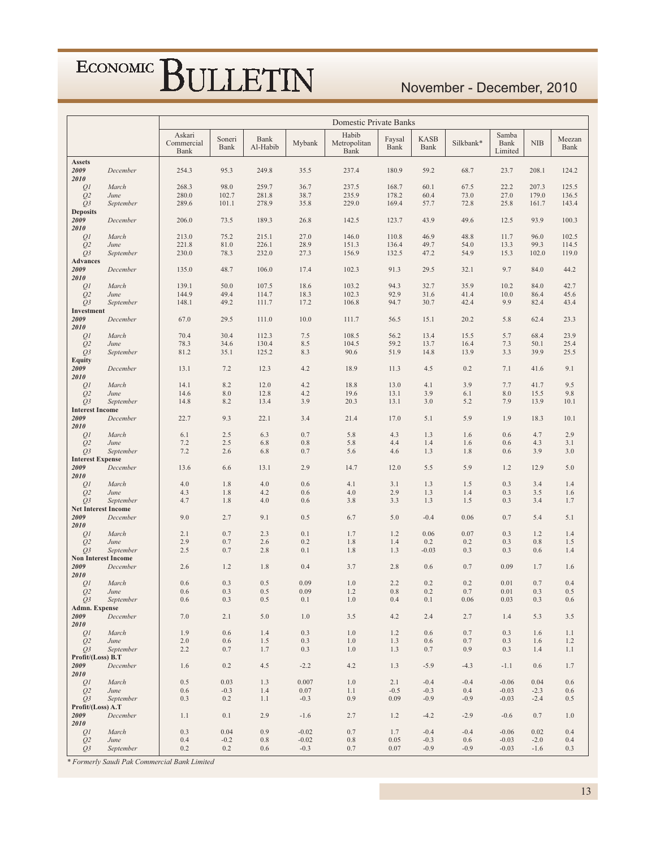### November - December, 2010

|                                    |               |                              |                |                  |                    | Domestic Private Banks        |                |                     |               |                          |                |                |
|------------------------------------|---------------|------------------------------|----------------|------------------|--------------------|-------------------------------|----------------|---------------------|---------------|--------------------------|----------------|----------------|
|                                    |               | Askari<br>Commercial<br>Bank | Soneri<br>Bank | Bank<br>Al-Habib | Mybank             | Habib<br>Metropolitan<br>Bank | Faysal<br>Bank | <b>KASB</b><br>Bank | Silkbank*     | Samba<br>Bank<br>Limited | NIB            | Meezan<br>Bank |
| <b>Assets</b><br>2009<br>2010      | December      | 254.3                        | 95.3           | 249.8            | 35.5               | 237.4                         | 180.9          | 59.2                | 68.7          | 23.7                     | 208.1          | 124.2          |
| QI                                 | March         | 268.3                        | 98.0           | 259.7            | 36.7               | 237.5                         | 168.7          | 60.1                | 67.5          | 22.2                     | 207.3          | 125.5          |
| Q <sub>2</sub>                     | June          | 280.0                        | 102.7          | 281.8            | 38.7               | 235.9                         | 178.2          | 60.4                | 73.0          | 27.0                     | 179.0          | 136.5          |
| Q3                                 | September     | 289.6                        | 101.1          | 278.9            | 35.8               | 229.0                         | 169.4          | 57.7                | 72.8          | 25.8                     | 161.7          | 143.4          |
| <b>Deposits</b><br>2009            | December      | 206.0                        | 73.5           | 189.3            | 26.8               | 142.5                         | 123.7          | 43.9                | 49.6          | 12.5                     | 93.9           | 100.3          |
| 2010                               |               |                              |                |                  |                    |                               |                |                     |               |                          |                |                |
| Q <sub>1</sub><br>Q <sub>2</sub>   | March<br>June | 213.0<br>221.8               | 75.2<br>81.0   | 215.1<br>226.1   | 27.0<br>28.9       | 146.0<br>151.3                | 110.8<br>136.4 | 46.9<br>49.7        | 48.8<br>54.0  | 11.7<br>13.3             | 96.0<br>99.3   | 102.5<br>114.5 |
| $Q_3$                              | September     | 230.0                        | 78.3           | 232.0            | 27.3               | 156.9                         | 132.5          | 47.2                | 54.9          | 15.3                     | 102.0          | 119.0          |
| <b>Advances</b>                    |               |                              |                |                  |                    |                               |                |                     |               |                          |                |                |
| 2009<br>2010                       | December      | 135.0                        | 48.7           | 106.0            | 17.4               | 102.3                         | 91.3           | 29.5                | 32.1          | 9.7                      | 84.0           | 44.2           |
| Q <sub>1</sub>                     | March         | 139.1                        | 50.0           | 107.5            | 18.6               | 103.2                         | 94.3           | 32.7                | 35.9          | 10.2                     | 84.0           | 42.7           |
| Q <sub>2</sub>                     | June          | 144.9<br>148.1               | 49.4<br>49.2   | 114.7<br>111.7   | 18.3<br>17.2       | 102.3<br>106.8                | 92.9<br>94.7   | 31.6<br>30.7        | 41.4<br>42.4  | 10.0<br>9.9              | 86.4<br>82.4   | 45.6<br>43.4   |
| Q3<br>Investment                   | September     |                              |                |                  |                    |                               |                |                     |               |                          |                |                |
| 2009<br>2010                       | December      | 67.0                         | 29.5           | 111.0            | 10.0               | 111.7                         | 56.5           | 15.1                | 20.2          | 5.8                      | 62.4           | 23.3           |
| Q <sub>1</sub>                     | March         | 70.4                         | 30.4           | 112.3            | 7.5                | 108.5                         | 56.2           | 13.4                | 15.5          | 5.7                      | 68.4           | 23.9           |
| Q <sub>2</sub>                     | June          | 78.3                         | 34.6           | 130.4            | 8.5                | 104.5                         | 59.2           | 13.7                | 16.4          | 7.3                      | 50.1           | 25.4           |
| O <sub>3</sub><br><b>Equity</b>    | September     | 81.2                         | 35.1           | 125.2            | 8.3                | 90.6                          | 51.9           | 14.8                | 13.9          | 3.3                      | 39.9           | 25.5           |
| 2009<br>2010                       | December      | 13.1                         | 7.2            | 12.3             | 4.2                | 18.9                          | 11.3           | 4.5                 | 0.2           | 7.1                      | 41.6           | 9.1            |
| Q <sub>1</sub>                     | March         | 14.1                         | 8.2            | 12.0             | 4.2                | 18.8                          | 13.0           | 4.1                 | 3.9           | 7.7                      | 41.7           | 9.5            |
| Q <sub>2</sub>                     | June          | 14.6                         | 8.0            | 12.8             | 4.2                | 19.6                          | 13.1           | 3.9                 | 6.1           | 8.0                      | 15.5           | 9.8            |
| $Q_3$                              | September     | 14.8                         | 8.2            | 13.4             | 3.9                | 20.3                          | 13.1           | 3.0                 | 5.2           | 7.9                      | 13.9           | 10.1           |
| <b>Interest Income</b><br>2009     | December      | 22.7                         | 9.3            | 22.1             | 3.4                | 21.4                          | 17.0           | 5.1                 | 5.9           | 1.9                      | 18.3           | 10.1           |
| 2010                               |               |                              |                |                  |                    |                               |                |                     |               |                          |                |                |
| QI<br>Q <sub>2</sub>               | March<br>June | 6.1<br>7.2                   | 2.5<br>2.5     | 6.3<br>6.8       | 0.7<br>0.8         | 5.8<br>5.8                    | 4.3<br>4.4     | 1.3<br>1.4          | 1.6<br>1.6    | 0.6<br>0.6               | 4.7<br>4.3     | 2.9<br>3.1     |
| $Q_3$                              | September     | 7.2                          | 2.6            | 6.8              | 0.7                | 5.6                           | 4.6            | 1.3                 | 1.8           | 0.6                      | 3.9            | 3.0            |
| <b>Interest Expense</b><br>2009    | December      | 13.6                         | 6.6            | 13.1             | 2.9                | 14.7                          | 12.0           | 5.5                 | 5.9           | 1.2                      | 12.9           | 5.0            |
| 2010                               |               |                              |                |                  |                    |                               |                |                     |               | 0.3                      | 3.4            |                |
| Q <sub>1</sub><br>Q <sub>2</sub>   | March<br>June | 4.0<br>4.3                   | 1.8<br>1.8     | 4.0<br>4.2       | 0.6<br>0.6         | 4.1<br>4.0                    | 3.1<br>2.9     | 1.3<br>1.3          | 1.5<br>1.4    | 0.3                      | 3.5            | 1.4<br>1.6     |
| $Q_3$                              | September     | 4.7                          | 1.8            | 4.0              | 0.6                | 3.8                           | 3.3            | 1.3                 | 1.5           | 0.3                      | 3.4            | 1.7            |
| <b>Net Interest Income</b><br>2009 | December      | 9.0                          | 2.7            | 9.1              | 0.5                | 6.7                           | 5.0            | $-0.4$              | 0.06          | 0.7                      | 5.4            | 5.1            |
| 2010                               |               |                              |                |                  |                    |                               |                |                     |               |                          |                |                |
| Q <sub>1</sub><br>Q <sub>2</sub>   | March<br>June | 2.1<br>2.9                   | 0.7<br>0.7     | 2.3<br>2.6       | 0.1<br>0.2         | 1.7<br>1.8                    | 1.2<br>1.4     | 0.06<br>0.2         | 0.07<br>0.2   | 0.3<br>0.3               | 1.2<br>0.8     | 1.4<br>1.5     |
| $Q_3$                              | September     | 2.5                          | 0.7            | 2.8              | 0.1                | 1.8                           | 1.3            | $-0.03$             | 0.3           | 0.3                      | 0.6            | 1.4            |
| <b>Non Interest Income</b>         |               |                              |                |                  |                    |                               |                |                     |               |                          |                |                |
| 2009<br>2010                       | December      | 2.6                          | 1.2            | 1.8              | 0.4                | 3.7                           | 2.8            | 0.6                 | 0.7           | 0.09                     | 1.7            | 1.6            |
| Q <sub>1</sub>                     | March         | 0.6                          | 0.3            | 0.5              | 0.09               | 1.0                           | 2.2            | 0.2                 | 0.2           | 0.01                     | 0.7            | 0.4            |
| Q <sub>2</sub>                     | June          | 0.6                          | 0.3            | 0.5              | 0.09               | 1.2                           | 0.8            | 0.2                 | 0.7           | 0.01                     | 0.3            | 0.5            |
| Q3<br>Admn. Expense                | September     | 0.6                          | 0.3            | 0.5              | 0.1                | $1.0\,$                       | 0.4            | 0.1                 | 0.06          | 0.03                     | 0.3            | 0.6            |
| 2009<br>2010                       | December      | 7.0                          | 2.1            | 5.0              | $1.0\,$            | 3.5                           | 4.2            | 2.4                 | 2.7           | 1.4                      | 5.3            | 3.5            |
| Q <sub>1</sub>                     | March         | 1.9                          | 0.6            | 1.4              | 0.3                | 1.0                           | 1.2            | 0.6                 | 0.7           | 0.3                      | 1.6            | 1.1            |
| Q <sub>2</sub>                     | June          | 2.0                          | 0.6            | 1.5              | 0.3                | 1.0                           | 1.3            | 0.6                 | 0.7           | 0.3                      | 1.6            | 1.2            |
| Q <sub>3</sub>                     | September     | 2.2                          | 0.7            | 1.7              | 0.3                | 1.0                           | 1.3            | 0.7                 | 0.9           | 0.3                      | 1.4            | 1.1            |
| Profit/(Loss) B.T<br>2009          | December      | 1.6                          | 0.2            | 4.5              | $-2.2$             | 4.2                           | 1.3            | $-5.9$              | $-4.3$        | $-1.1$                   | 0.6            | 1.7            |
| 2010<br>QI                         | March         | 0.5                          | 0.03           | 1.3              | 0.007              | 1.0                           | 2.1            | $-0.4$              | $-0.4$        | $-0.06$                  | 0.04           | 0.6            |
| Q <sub>2</sub>                     | June          | 0.6                          | $-0.3$         | 1.4              | 0.07               | 1.1                           | $-0.5$         | $-0.3$              | 0.4           | $-0.03$                  | $-2.3$         | 0.6            |
| Q <sub>3</sub>                     | September     | 0.3                          | 0.2            | 1.1              | $-0.3$             | 0.9                           | 0.09           | $-0.9$              | $-0.9$        | $-0.03$                  | $-2.4$         | 0.5            |
| Profit/(Loss) A.T<br>2009          | December      | 1.1                          | 0.1            | 2.9              | $-1.6$             | 2.7                           | 1.2            | $-4.2$              | $-2.9$        | $-0.6$                   | 0.7            | 1.0            |
| 2010                               |               |                              |                |                  |                    |                               |                |                     |               |                          |                |                |
| QI<br>Q <sub>2</sub>               | March<br>June | 0.3<br>0.4                   | 0.04<br>$-0.2$ | 0.9<br>0.8       | $-0.02$<br>$-0.02$ | 0.7<br>$0.8\,$                | 1.7<br>0.05    | $-0.4$<br>$-0.3$    | $-0.4$<br>0.6 | $-0.06$<br>$-0.03$       | 0.02<br>$-2.0$ | 0.4<br>0.4     |
| $Q_3$                              | September     | 0.2                          | 0.2            | 0.6              | $-0.3$             | 0.7                           | 0.07           | $-0.9$              | $-0.9$        | $-0.03$                  | $-1.6$         | 0.3            |

\* Formerly Saudi Pak Commercial Bank Limited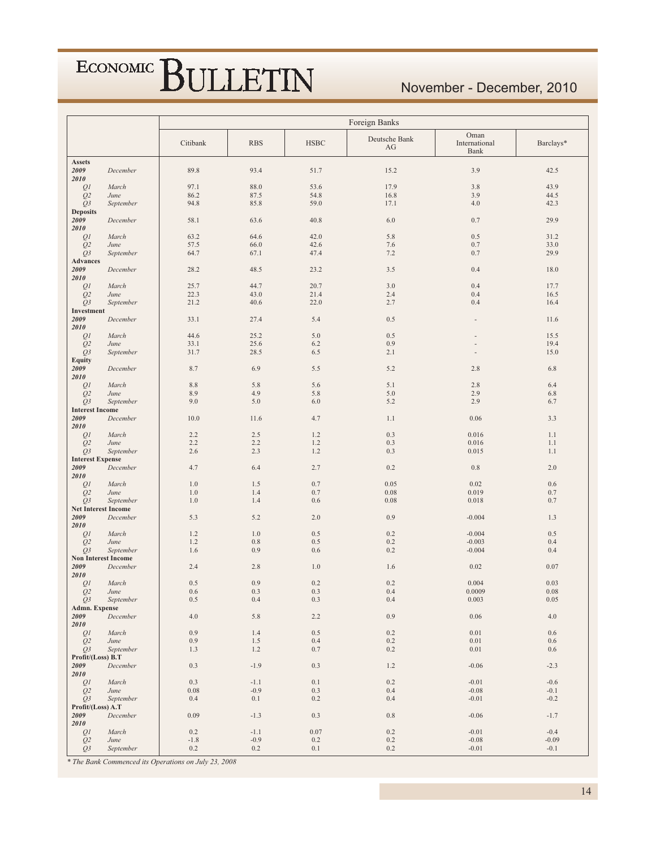### November - December, 2010

|                                  |                   |            |            |             | Foreign Banks       |                               |            |
|----------------------------------|-------------------|------------|------------|-------------|---------------------|-------------------------------|------------|
|                                  |                   | Citibank   | <b>RBS</b> | <b>HSBC</b> | Deutsche Bank<br>AG | Oman<br>International<br>Bank | Barclays*  |
| <b>Assets</b>                    |                   |            |            |             |                     |                               |            |
| 2009<br>2010                     | December          | 89.8       | 93.4       | 51.7        | 15.2                | 3.9                           | 42.5       |
| Q1                               | March             | 97.1       | 88.0       | 53.6        | 17.9                | 3.8                           | 43.9       |
| Q <sub>2</sub>                   | June              | 86.2       | 87.5       | 54.8        | 16.8                | 3.9                           | 44.5       |
| Q3                               | September         | 94.8       | 85.8       | 59.0        | 17.1                | 4.0                           | 42.3       |
| <b>Deposits</b><br>2009          |                   |            |            |             |                     |                               |            |
| 2010                             | December          | 58.1       | 63.6       | 40.8        | 6.0                 | 0.7                           | 29.9       |
| QI                               | March             | 63.2       | 64.6       | 42.0        | 5.8                 | 0.5                           | 31.2       |
| Q <sub>2</sub>                   | June              | 57.5       | 66.0       | 42.6        | 7.6                 | 0.7                           | 33.0       |
| Q3                               | September         | 64.7       | 67.1       | 47.4        | 7.2                 | 0.7                           | 29.9       |
| <b>Advances</b><br>2009          |                   |            |            |             |                     |                               |            |
| 2010                             | December          | 28.2       | 48.5       | 23.2        | 3.5                 | 0.4                           | 18.0       |
| Q1                               | March             | 25.7       | 44.7       | 20.7        | 3.0                 | 0.4                           | 17.7       |
| Q <sub>2</sub>                   | June              | 22.3       | 43.0       | 21.4        | 2.4                 | 0.4                           | 16.5       |
| Q3                               | September         | 21.2       | 40.6       | 22.0        | 2.7                 | 0.4                           | 16.4       |
| Investment<br>2009               | December          | 33.1       | 27.4       | 5.4         | 0.5                 |                               | 11.6       |
| 2010                             |                   |            |            |             |                     |                               |            |
| QI                               | March             | 44.6       | 25.2       | 5.0         | 0.5                 |                               | 15.5       |
| Q <sub>2</sub>                   | June              | 33.1       | 25.6       | 6.2         | 0.9                 |                               | 19.4       |
| $Q_3$                            | September         | 31.7       | 28.5       | 6.5         | 2.1                 |                               | 15.0       |
| <b>Equity</b><br>2009            | December          | 8.7        | 6.9        | 5.5         | 5.2                 | 2.8                           | 6.8        |
| 2010                             |                   |            |            |             |                     |                               |            |
| Q <sub>I</sub>                   | March             | 8.8        | 5.8        | 5.6         | 5.1                 | 2.8                           | 6.4        |
| Q <sub>2</sub>                   | June              | 8.9        | 4.9        | 5.8         | 5.0                 | 2.9                           | 6.8        |
| $Q_3$<br><b>Interest Income</b>  | September         | 9.0        | 5.0        | 6.0         | 5.2                 | 2.9                           | 6.7        |
| 2009                             | December          | 10.0       | 11.6       | 4.7         | 1.1                 | 0.06                          | 3.3        |
| 2010                             |                   |            |            |             |                     |                               |            |
| QI                               | March             | 2.2        | 2.5        | 1.2         | 0.3                 | 0.016                         | 1.1        |
| Q <sub>2</sub>                   | June              | 2.2        | 2.2        | 1.2<br>1.2  | 0.3                 | 0.016                         | 1.1        |
| Q3<br><b>Interest Expense</b>    | September         | 2.6        | 2.3        |             | 0.3                 | 0.015                         | 1.1        |
| 2009                             | December          | 4.7        | 6.4        | 2.7         | 0.2                 | 0.8                           | $2.0$      |
| 2010                             |                   |            |            |             |                     |                               |            |
| Q <sub>1</sub>                   | March             | 1.0        | 1.5        | 0.7         | 0.05                | 0.02                          | 0.6        |
| Q <sub>2</sub><br>O <sub>3</sub> | June<br>September | 1.0<br>1.0 | 1.4<br>1.4 | 0.7<br>0.6  | 0.08<br>0.08        | 0.019<br>0.018                | 0.7<br>0.7 |
| <b>Net Interest Income</b>       |                   |            |            |             |                     |                               |            |
| 2009                             | December          | 5.3        | 5.2        | 2.0         | 0.9                 | $-0.004$                      | 1.3        |
| 2010                             |                   |            |            |             |                     |                               |            |
| Q1<br>Q <sub>2</sub>             | March<br>June     | 1.2<br>1.2 | 1.0<br>0.8 | 0.5<br>0.5  | 0.2<br>0.2          | $-0.004$<br>$-0.003$          | 0.5<br>0.4 |
| Q <sub>3</sub>                   | September         | 1.6        | 0.9        | 0.6         | 0.2                 | $-0.004$                      | 0.4        |
| <b>Non Interest Income</b>       |                   |            |            |             |                     |                               |            |
| 2009                             | December          | 2.4        | 2.8        | 1.0         | 1.6                 | 0.02                          | 0.07       |
| 2010<br>QI                       | March             | 0.5        | 0.9        | 0.2         | 0.2                 | 0.004                         | 0.03       |
| Q <sub>2</sub>                   | June              | 0.6        | 0.3        | 0.3         | 0.4                 | 0.0009                        | 0.08       |
| $Q_3$                            | September         | 0.5        | 0.4        | 0.3         | 0.4                 | 0.003                         | 0.05       |
| Admn. Expense                    |                   |            |            |             |                     |                               |            |
| 2009<br>2010                     | December          | 4.0        | 5.8        | 2.2         | 0.9                 | 0.06                          | 4.0        |
| Q <sub>I</sub>                   | March             | 0.9        | 1.4        | $0.5\,$     | 0.2                 | 0.01                          | $0.6\,$    |
| Q <sub>2</sub>                   | June              | 0.9        | 1.5        | 0.4         | 0.2                 | 0.01                          | 0.6        |
| Q3                               | September         | 1.3        | 1.2        | 0.7         | 0.2                 | $0.01\,$                      | 0.6        |
| Profit/(Loss) B.T                |                   |            |            |             |                     |                               |            |
| 2009<br>2010                     | December          | 0.3        | $-1.9$     | 0.3         | 1.2                 | $-0.06$                       | $-2.3$     |
| QI                               | March             | 0.3        | $-1.1$     | $0.1\,$     | 0.2                 | $-0.01$                       | $-0.6$     |
| Q <sub>2</sub>                   | June              | 0.08       | $-0.9$     | 0.3         | 0.4                 | $-0.08$                       | $-0.1$     |
| $Q_3$                            | September         | 0.4        | 0.1        | 0.2         | 0.4                 | $-0.01$                       | $-0.2$     |
| Profit/(Loss) A.T<br>2009        | December          | 0.09       | $-1.3$     | 0.3         | $0.8\,$             | $-0.06$                       | $-1.7$     |
| 2010                             |                   |            |            |             |                     |                               |            |
| Q1                               | March             | 0.2        | $-1.1$     | 0.07        | 0.2                 | $-0.01$                       | $-0.4$     |
| Q <sub>2</sub>                   | June              | $-1.8$     | $-0.9$     | 0.2         | 0.2                 | $-0.08$                       | $-0.09$    |
| Q3                               | September         | 0.2        | $0.2\,$    | 0.1         | 0.2                 | $-0.01$                       | $-0.1$     |

\* The Bank Commenced its Operations on July 23, 2008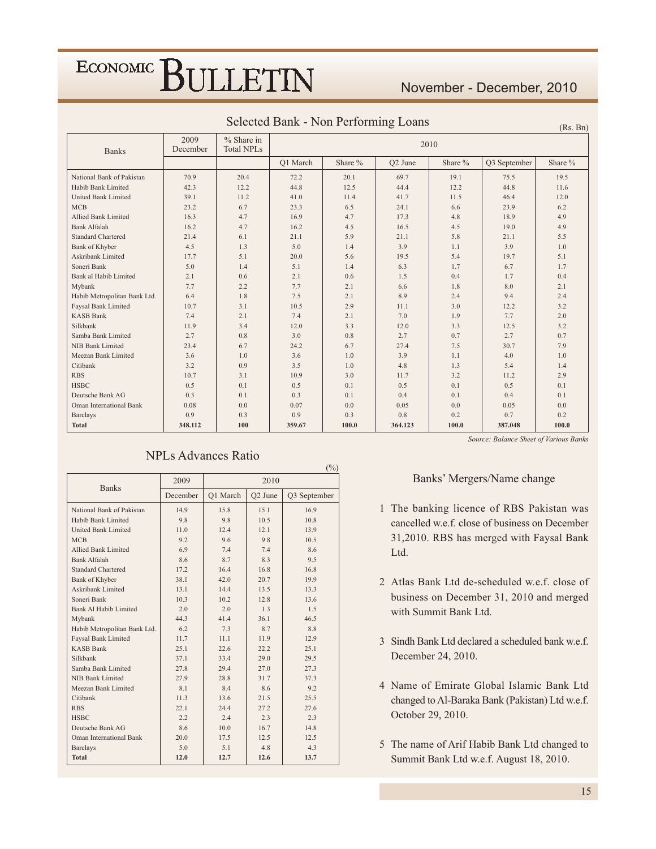#### November - December, 2010

| <b>Banks</b>                   | 2009<br>December | $%$ Share in<br><b>Total NPLs</b> |          |         | 2010                |         |              |         |
|--------------------------------|------------------|-----------------------------------|----------|---------|---------------------|---------|--------------|---------|
|                                |                  |                                   | O1 March | Share % | O <sub>2</sub> June | Share % | Q3 September | Share % |
| National Bank of Pakistan      | 70.9             | 20.4                              | 72.2     | 20.1    | 69.7                | 19.1    | 75.5         | 19.5    |
| Habib Bank Limited             | 42.3             | 12.2                              | 44.8     | 12.5    | 44.4                | 12.2    | 44.8         | 11.6    |
| <b>United Bank Limited</b>     | 39.1             | 11.2                              | 41.0     | 11.4    | 41.7                | 11.5    | 46.4         | 12.0    |
| <b>MCB</b>                     | 23.2             | 6.7                               | 23.3     | 6.5     | 24.1                | 6.6     | 23.9         | 6.2     |
| Allied Bank Limited            | 16.3             | 4.7                               | 16.9     | 4.7     | 17.3                | 4.8     | 18.9         | 4.9     |
| <b>Bank Alfalah</b>            | 16.2             | 4.7                               | 16.2     | 4.5     | 16.5                | 4.5     | 19.0         | 4.9     |
| <b>Standard Chartered</b>      | 21.4             | 6.1                               | 21.1     | 5.9     | 21.1                | 5.8     | 21.1         | 5.5     |
| Bank of Khyber                 | 4.5              | 1.3                               | 5.0      | 1.4     | 3.9                 | 1.1     | 3.9          | 1.0     |
| Askribank Limited              | 17.7             | 5.1                               | 20.0     | 5.6     | 19.5                | 5.4     | 19.7         | 5.1     |
| Soneri Bank                    | 5.0              | 1.4                               | 5.1      | 1.4     | 6.3                 | 1.7     | 6.7          | 1.7     |
| Bank al Habib Limited          | 2.1              | 0.6                               | 2.1      | 0.6     | 1.5                 | 0.4     | 1.7          | 0.4     |
| Mybank                         | 7.7              | 2.2                               | 7.7      | 2.1     | 6.6                 | 1.8     | 8.0          | 2.1     |
| Habib Metropolitan Bank Ltd.   | 6.4              | 1.8                               | 7.5      | 2.1     | 8.9                 | 2.4     | 9.4          | 2.4     |
| Faysal Bank Limited            | 10.7             | 3.1                               | 10.5     | 2.9     | 11.1                | 3.0     | 12.2         | 3.2     |
| <b>KASB Bank</b>               | 7.4              | 2.1                               | 7.4      | 2.1     | 7.0                 | 1.9     | 7.7          | 2.0     |
| Silkbank                       | 11.9             | 3.4                               | 12.0     | 3.3     | 12.0                | 3.3     | 12.5         | 3.2     |
| Samba Bank Limited             | 2.7              | 0.8                               | 3.0      | 0.8     | 2.7                 | 0.7     | 2.7          | 0.7     |
| NIB Bank Limited               | 23.4             | 6.7                               | 24.2     | 6.7     | 27.4                | 7.5     | 30.7         | 7.9     |
| Meezan Bank Limited            | 3.6              | 1.0                               | 3.6      | 1.0     | 3.9                 | 1.1     | 4.0          | 1.0     |
| Citibank                       | 3.2              | 0.9                               | 3.5      | 1.0     | 4.8                 | 1.3     | 5.4          | 1.4     |
| <b>RBS</b>                     | 10.7             | 3.1                               | 10.9     | 3.0     | 11.7                | 3.2     | 11.2         | 2.9     |
| <b>HSBC</b>                    | 0.5              | 0.1                               | 0.5      | 0.1     | 0.5                 | 0.1     | 0.5          | 0.1     |
| Deutsche Bank AG               | 0.3              | 0.1                               | 0.3      | 0.1     | 0.4                 | 0.1     | 0.4          | 0.1     |
| <b>Oman International Bank</b> | 0.08             | 0.0                               | 0.07     | 0.0     | 0.05                | 0.0     | 0.05         | 0.0     |
| <b>Barclays</b>                | 0.9              | 0.3                               | 0.9      | 0.3     | 0.8                 | 0.2     | 0.7          | 0.2     |
| <b>Total</b>                   | 348.112          | 100                               | 359.67   | 100.0   | 364.123             | 100.0   | 387.048      | 100.0   |

 $(%)$ 

#### Selected Bank - Non Performing Loans

#### $(Rs$  Bn)

#### **NPLs Advances Ratio**

| <b>Banks</b>                   | 2009     |          | 2010                |              |
|--------------------------------|----------|----------|---------------------|--------------|
|                                | December | O1 March | O <sub>2</sub> June | Q3 September |
| National Bank of Pakistan      | 14.9     | 15.8     | 15.1                | 16.9         |
| Habib Bank Limited             | 9.8      | 9.8      | 10.5                | 10.8         |
| United Bank Limited            | 11.0     | 12.4     | 12.1                | 13.9         |
| <b>MCB</b>                     | 9.2      | 9.6      | 9.8                 | 10.5         |
| Allied Bank Limited            | 6.9      | 7.4      | 7.4                 | 8.6          |
| Bank Alfalah                   | 8.6      | 8.7      | 8.3                 | 9.5          |
| <b>Standard Chartered</b>      | 17.2     | 16.4     | 16.8                | 16.8         |
| Bank of Khyber                 | 38.1     | 42.0     | 20.7                | 19.9         |
| Askribank Limited              | 13.1     | 14.4     | 13.5                | 13.3         |
| Soneri Bank                    | 10.3     | 10.2     | 12.8                | 13.6         |
| Bank Al Habib Limited          | 2.0      | 2.0      | 1.3                 | 1.5          |
| Mybank                         | 44.3     | 41.4     | 36.1                | 46.5         |
| Habib Metropolitan Bank Ltd.   | 6.2      | 7.3      | 8.7                 | 8.8          |
| Faysal Bank Limited            | 11.7     | 11.1     | 11.9                | 12.9         |
| <b>KASB Bank</b>               | 25.1     | 22.6     | 22.2                | 25.1         |
| Silkbank                       | 37.1     | 33.4     | 29.0                | 29.5         |
| Samba Bank Limited             | 27.8     | 29.4     | 27.0                | 27.3         |
| NIB Bank Limited               | 27.9     | 28.8     | 31.7                | 37.3         |
| Meezan Bank Limited            | 8.1      | 8.4      | 8.6                 | 9.2          |
| Citibank                       | 11.3     | 13.6     | 21.5                | 25.5         |
| <b>RBS</b>                     | 22.1     | 24.4     | 27.2                | 27.6         |
| <b>HSBC</b>                    | 2.2      | 2.4      | 2.3                 | 2.3          |
| Deutsche Bank AG               | 8.6      | 10.0     | 16.7                | 14.8         |
| <b>Oman International Bank</b> | 20.0     | 17.5     | 12.5                | 12.5         |
| <b>Barclays</b>                | 5.0      | 5.1      | 4.8                 | 4.3          |
| <b>Total</b>                   | 12.0     | 12.7     | 12.6                | 13.7         |

Source: Balance Sheet of Various Banks

#### Banks' Mergers/Name change

- 1 The banking licence of RBS Pakistan was cancelled w.e.f. close of business on December 31,2010. RBS has merged with Faysal Bank Ltd.
- 2 Atlas Bank Ltd de-scheduled w.e.f. close of business on December 31, 2010 and merged with Summit Bank Ltd.
- 3 Sindh Bank Ltd declared a scheduled bank w.e.f. December 24, 2010.
- 4 Name of Emirate Global Islamic Bank Ltd changed to Al-Baraka Bank (Pakistan) Ltd w.e.f. October 29, 2010.
- 5 The name of Arif Habib Bank Ltd changed to Summit Bank Ltd w.e.f. August 18, 2010.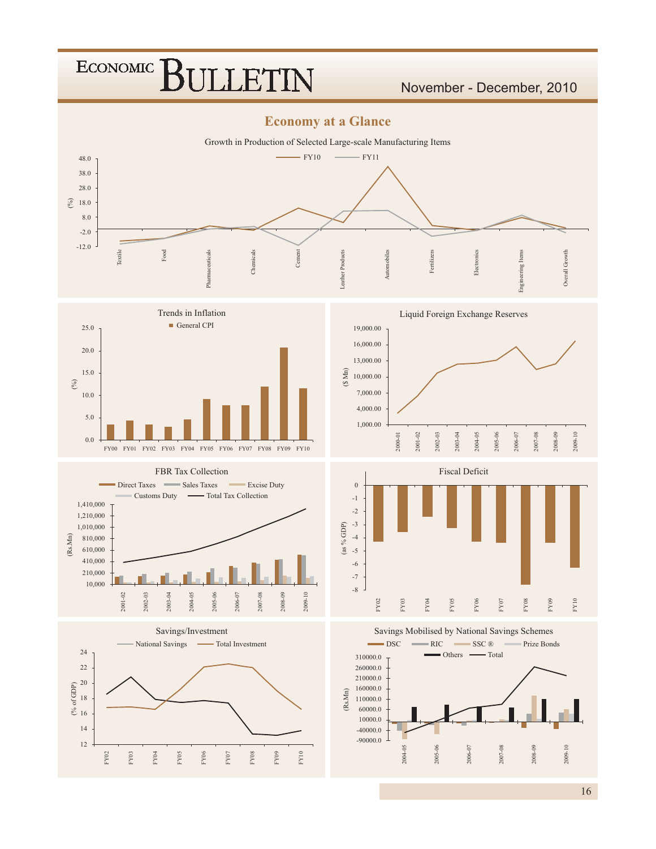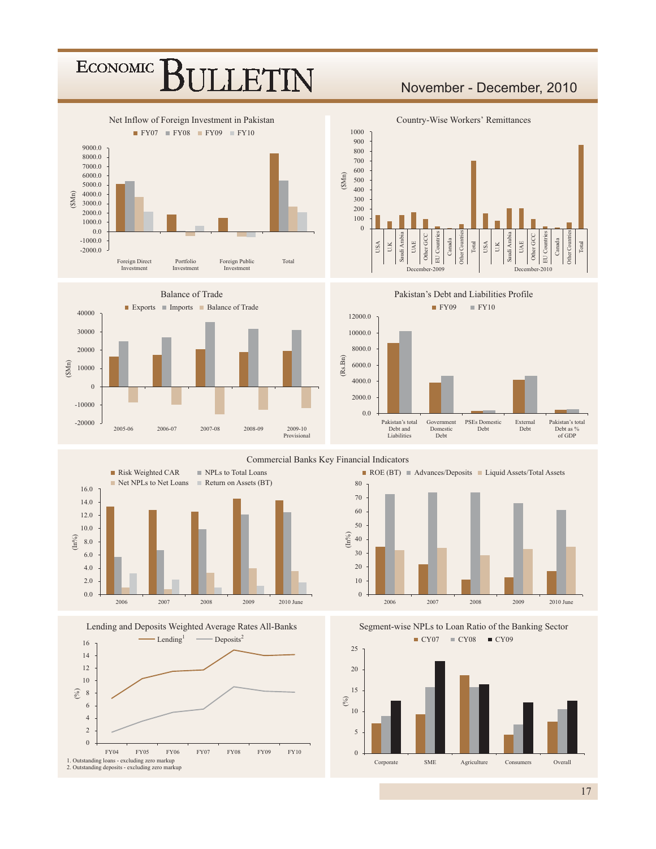### ECONOMIC<sup>]</sup> LLET1

#### November - December, 2010















Commercial Banks Key Financial Indicators



Segment-wise NPLs to Loan Ratio of the Banking Sector  $CY07 = CY08 = CY09$ 



 $17$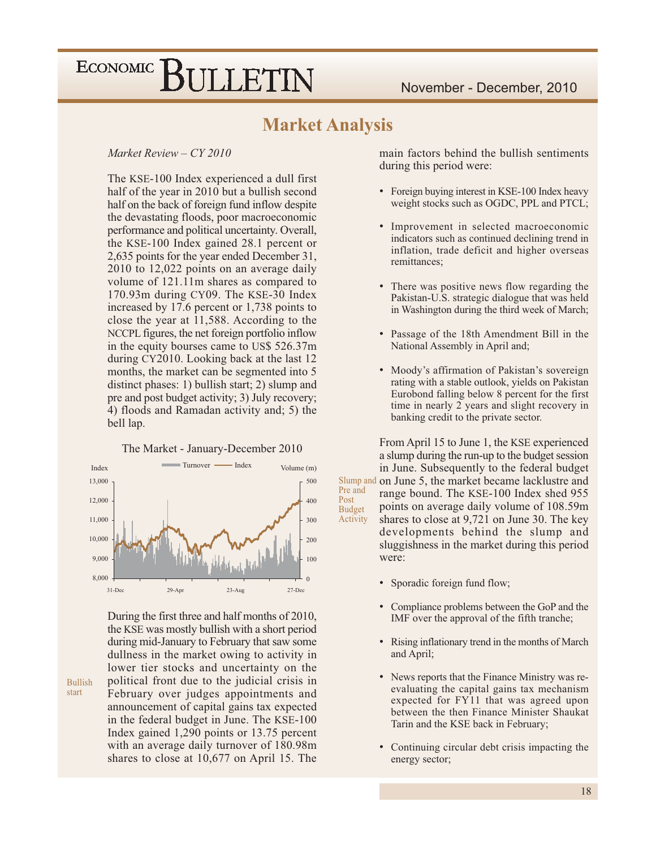#### **Market Analysis**

Post

#### Market Review  $- CY$  2010

The KSE-100 Index experienced a dull first half of the year in 2010 but a bullish second half on the back of foreign fund inflow despite the devastating floods, poor macroeconomic performance and political uncertainty. Overall, the KSE-100 Index gained 28.1 percent or 2,635 points for the year ended December 31, 2010 to 12,022 points on an average daily volume of 121.11m shares as compared to 170.93m during CY09. The KSE-30 Index increased by 17.6 percent or 1,738 points to close the year at 11,588. According to the NCCPL figures, the net foreign portfolio inflow in the equity bourses came to US\$ 526.37m during CY2010. Looking back at the last 12 months, the market can be segmented into 5 distinct phases: 1) bullish start; 2) slump and pre and post budget activity; 3) July recovery; 4) floods and Ramadan activity and; 5) the bell lap.

Turnover - $-Index$ Index Volume (m) 13,000 500 12,000 400 11,000 300 10,000 200 9.000 100 8,000  $\Omega$  $29 - Api$  $23-Aug$  $31 - Dec$  $27-Dec$ 

The Market - January-December 2010

During the first three and half months of 2010, the KSE was mostly bullish with a short period during mid-January to February that saw some dullness in the market owing to activity in lower tier stocks and uncertainty on the political front due to the judicial crisis in February over judges appointments and announcement of capital gains tax expected in the federal budget in June. The KSE-100 Index gained 1,290 points or 13.75 percent with an average daily turnover of 180.98m shares to close at  $10,677$  on April 15. The

**Bullish** 

start

main factors behind the bullish sentiments during this period were:

- $\bullet$ Foreign buying interest in KSE-100 Index heavy weight stocks such as OGDC, PPL and PTCL;
- Improvement in selected macroeconomic indicators such as continued declining trend in inflation, trade deficit and higher overseas remittances;
- There was positive news flow regarding the Pakistan-U.S. strategic dialogue that was held in Washington during the third week of March;
- $\bullet$ Passage of the 18th Amendment Bill in the National Assembly in April and;
- Moody's affirmation of Pakistan's sovereign rating with a stable outlook, yields on Pakistan Eurobond falling below 8 percent for the first time in nearly 2 years and slight recovery in banking credit to the private sector.

From April 15 to June 1, the KSE experienced a slump during the run-up to the budget session in June. Subsequently to the federal budget Slump and on June 5, the market became lacklustre and Pre and range bound. The KSE-100 Index shed 955 points on average daily volume of 108.59m **Budget** shares to close at 9,721 on June 30. The key Activity developments behind the slump and sluggishness in the market during this period were:

- Sporadic foreign fund flow;  $\bullet$
- Compliance problems between the GoP and the  $\bullet$ IMF over the approval of the fifth tranche;
- $\bullet$ Rising inflationary trend in the months of March and April;
- News reports that the Finance Ministry was reevaluating the capital gains tax mechanism expected for FY11 that was agreed upon between the then Finance Minister Shaukat Tarin and the KSE back in February;
- Continuing circular debt crisis impacting the energy sector;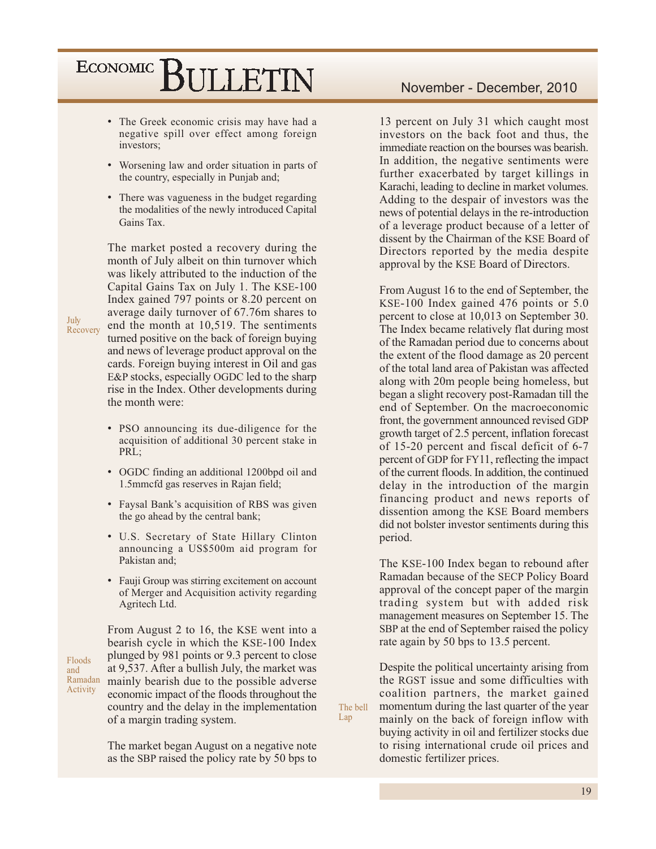- The Greek economic crisis may have had a negative spill over effect among foreign investors;
- Worsening law and order situation in parts of the country, especially in Punjab and;
- There was vagueness in the budget regarding the modalities of the newly introduced Capital Gains Tax.

The market posted a recovery during the month of July albeit on thin turnover which was likely attributed to the induction of the Capital Gains Tax on July 1. The KSE-100 Index gained 797 points or 8.20 percent on average daily turnover of 67.76m shares to end the month at 10,519. The sentiments turned positive on the back of foreign buying and news of leverage product approval on the cards. Foreign buying interest in Oil and gas E&P stocks, especially OGDC led to the sharp rise in the Index. Other developments during the month were:

- PSO announcing its due-diligence for the acquisition of additional 30 percent stake in PRL;
- OGDC finding an additional 1200bpd oil and 1.5mmcfd gas reserves in Rajan field;
- Faysal Bank's acquisition of RBS was given the go ahead by the central bank;
- U.S. Secretary of State Hillary Clinton announcing a US\$500m aid program for Pakistan and;
- Fauji Group was stirring excitement on account of Merger and Acquisition activity regarding Agritech Ltd.

From August 2 to 16, the KSE went into a bearish cycle in which the KSE-100 Index plunged by 981 points or 9.3 percent to close at 9,537. After a bullish July, the market was Ramadan mainly bearish due to the possible adverse economic impact of the floods throughout the country and the delay in the implementation of a margin trading system.

> The market began August on a negative note as the SBP raised the policy rate by 50 bps to

Lap

13 percent on July 31 which caught most investors on the back foot and thus, the immediate reaction on the bourses was bearish. In addition, the negative sentiments were further exacerbated by target killings in Karachi, leading to decline in market volumes. Adding to the despair of investors was the news of potential delays in the re-introduction of a leverage product because of a letter of dissent by the Chairman of the KSE Board of Directors reported by the media despite approval by the KSE Board of Directors.

From August 16 to the end of September, the KSE-100 Index gained 476 points or 5.0 percent to close at 10,013 on September 30. The Index became relatively flat during most of the Ramadan period due to concerns about the extent of the flood damage as 20 percent of the total land area of Pakistan was affected along with 20m people being homeless, but began a slight recovery post-Ramadan till the end of September. On the macroeconomic front, the government announced revised GDP growth target of 2.5 percent, inflation forecast of 15-20 percent and fiscal deficit of 6-7 percent of GDP for FY11, reflecting the impact of the current floods. In addition, the continued delay in the introduction of the margin financing product and news reports of dissention among the KSE Board members did not bolster investor sentiments during this period.

The KSE-100 Index began to rebound after Ramadan because of the SECP Policy Board approval of the concept paper of the margin trading system but with added risk management measures on September 15. The SBP at the end of September raised the policy rate again by 50 bps to 13.5 percent.

Despite the political uncertainty arising from the RGST issue and some difficulties with coalition partners, the market gained The bell momentum during the last quarter of the year mainly on the back of foreign inflow with buying activity in oil and fertilizer stocks due to rising international crude oil prices and domestic fertilizer prices.

July Recovery

Floods

Activity

and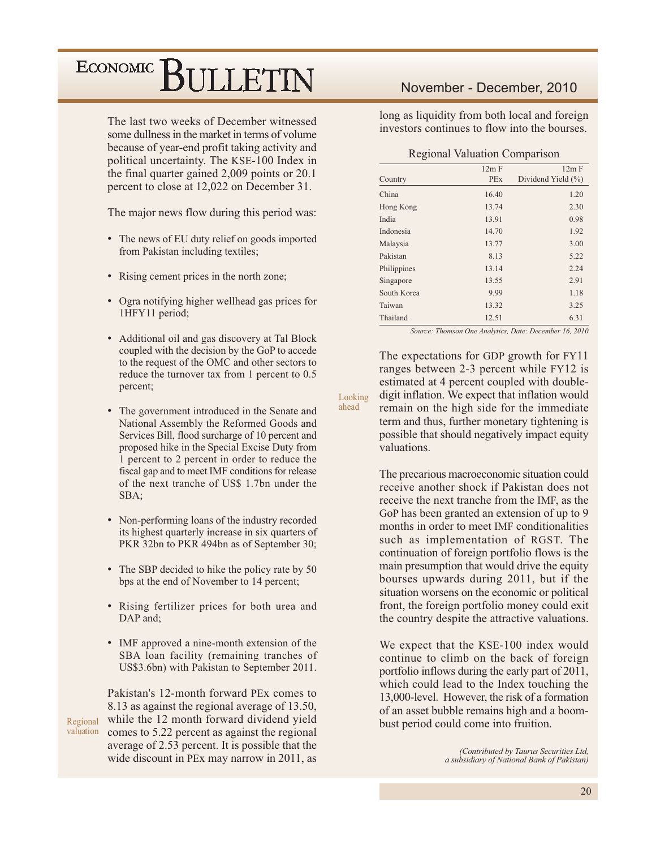The last two weeks of December witnessed some dullness in the market in terms of volume because of year-end profit taking activity and political uncertainty. The KSE-100 Index in the final quarter gained 2,009 points or 20.1 percent to close at 12,022 on December 31.

The major news flow during this period was:

- The news of EU duty relief on goods imported from Pakistan including textiles;
- Rising cement prices in the north zone;
- Ogra notifying higher wellhead gas prices for 1HFY11 period;
- Additional oil and gas discovery at Tal Block coupled with the decision by the GoP to accede to the request of the OMC and other sectors to reduce the turnover tax from 1 percent to 0.5 percent;
- The government introduced in the Senate and National Assembly the Reformed Goods and Services Bill, flood surcharge of 10 percent and proposed hike in the Special Excise Duty from 1 percent to 2 percent in order to reduce the fiscal gap and to meet IMF conditions for release of the next tranche of US\$ 1.7bn under the SBA:
- Non-performing loans of the industry recorded its highest quarterly increase in six quarters of PKR 32bn to PKR 494bn as of September 30;
- The SBP decided to hike the policy rate by 50 bps at the end of November to 14 percent;
- Rising fertilizer prices for both urea and DAP and:
- IMF approved a nine-month extension of the SBA loan facility (remaining tranches of US\$3.6bn) with Pakistan to September 2011.

Pakistan's 12-month forward PEx comes to 8.13 as against the regional average of 13.50, while the 12 month forward dividend yield Regional valuation comes to 5.22 percent as against the regional average of 2.53 percent. It is possible that the wide discount in PEx may narrow in 2011, as

#### November - December, 2010

long as liquidity from both local and foreign investors continues to flow into the bourses

#### **Regional Valuation Comparison**

|             | 12m F      | 12m F                  |
|-------------|------------|------------------------|
|             |            |                        |
| Country     | <b>PEx</b> | Dividend Yield $(\% )$ |
| China       | 16.40      | 1.20                   |
| Hong Kong   | 13.74      | 2.30                   |
| India       | 13.91      | 0.98                   |
| Indonesia   | 14.70      | 1.92                   |
| Malaysia    | 13.77      | 3.00                   |
| Pakistan    | 8.13       | 5.22                   |
| Philippines | 13.14      | 2.24                   |
| Singapore   | 13.55      | 2.91                   |
| South Korea | 9.99       | 1.18                   |
| Taiwan      | 13.32      | 3.25                   |
| Thailand    | 12.51      | 6.31                   |

Source: Thomson One Analytics, Date: December 16, 2010

The expectations for GDP growth for FY11 ranges between 2-3 percent while FY12 is estimated at 4 percent coupled with doubledigit inflation. We expect that inflation would remain on the high side for the immediate term and thus, further monetary tightening is possible that should negatively impact equity valuations.

Looking ahead

> The precarious macroeconomic situation could receive another shock if Pakistan does not receive the next tranche from the IMF, as the GoP has been granted an extension of up to 9 months in order to meet IMF conditionalities such as implementation of RGST. The continuation of foreign portfolio flows is the main presumption that would drive the equity bourses upwards during 2011, but if the situation worsens on the economic or political front, the foreign portfolio money could exit the country despite the attractive valuations.

> We expect that the KSE-100 index would continue to climb on the back of foreign portfolio inflows during the early part of 2011, which could lead to the Index touching the 13,000-level. However, the risk of a formation of an asset bubble remains high and a boombust period could come into fruition.

> > (Contributed by Taurus Securities Ltd, a subsidiary of National Bank of Pakistan)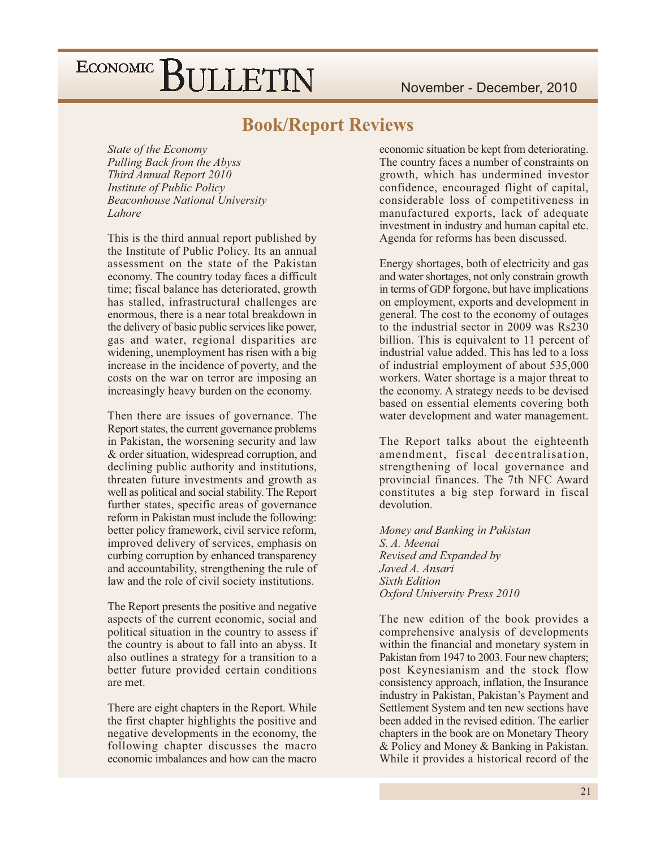#### **Book/Report Reviews**

State of the Economy Pulling Back from the Abyss Third Annual Report 2010 **Institute of Public Policy Beaconhouse National University** Lahore

This is the third annual report published by the Institute of Public Policy. Its an annual assessment on the state of the Pakistan economy. The country today faces a difficult time; fiscal balance has deteriorated, growth has stalled, infrastructural challenges are enormous, there is a near total breakdown in the delivery of basic public services like power, gas and water, regional disparities are widening, unemployment has risen with a big increase in the incidence of poverty, and the costs on the war on terror are imposing an increasingly heavy burden on the economy.

Then there are issues of governance. The Report states, the current governance problems in Pakistan, the worsening security and law & order situation, widespread corruption, and declining public authority and institutions. threaten future investments and growth as well as political and social stability. The Report further states, specific areas of governance reform in Pakistan must include the following: better policy framework, civil service reform, improved delivery of services, emphasis on curbing corruption by enhanced transparency and accountability, strengthening the rule of law and the role of civil society institutions.

The Report presents the positive and negative aspects of the current economic, social and political situation in the country to assess if the country is about to fall into an abyss. It also outlines a strategy for a transition to a better future provided certain conditions are met.

There are eight chapters in the Report. While the first chapter highlights the positive and negative developments in the economy, the following chapter discusses the macro economic imbalances and how can the macro

economic situation be kept from deteriorating. The country faces a number of constraints on growth, which has undermined investor confidence, encouraged flight of capital, considerable loss of competitiveness in manufactured exports, lack of adequate investment in industry and human capital etc. Agenda for reforms has been discussed.

Energy shortages, both of electricity and gas and water shortages, not only constrain growth in terms of GDP forgone, but have implications on employment, exports and development in general. The cost to the economy of outages to the industrial sector in 2009 was Rs230 billion. This is equivalent to 11 percent of industrial value added. This has led to a loss of industrial employment of about 535,000 workers. Water shortage is a major threat to the economy. A strategy needs to be devised based on essential elements covering both water development and water management.

The Report talks about the eighteenth amendment, fiscal decentralisation, strengthening of local governance and provincial finances. The 7th NFC Award constitutes a big step forward in fiscal devolution.

Money and Banking in Pakistan S. A. Meenai Revised and Expanded by Javed A. Ansari **Sixth Edition** Oxford University Press 2010

The new edition of the book provides a comprehensive analysis of developments within the financial and monetary system in Pakistan from 1947 to 2003. Four new chapters: post Keynesianism and the stock flow consistency approach, inflation, the Insurance industry in Pakistan, Pakistan's Payment and Settlement System and ten new sections have been added in the revised edition. The earlier chapters in the book are on Monetary Theory & Policy and Money & Banking in Pakistan. While it provides a historical record of the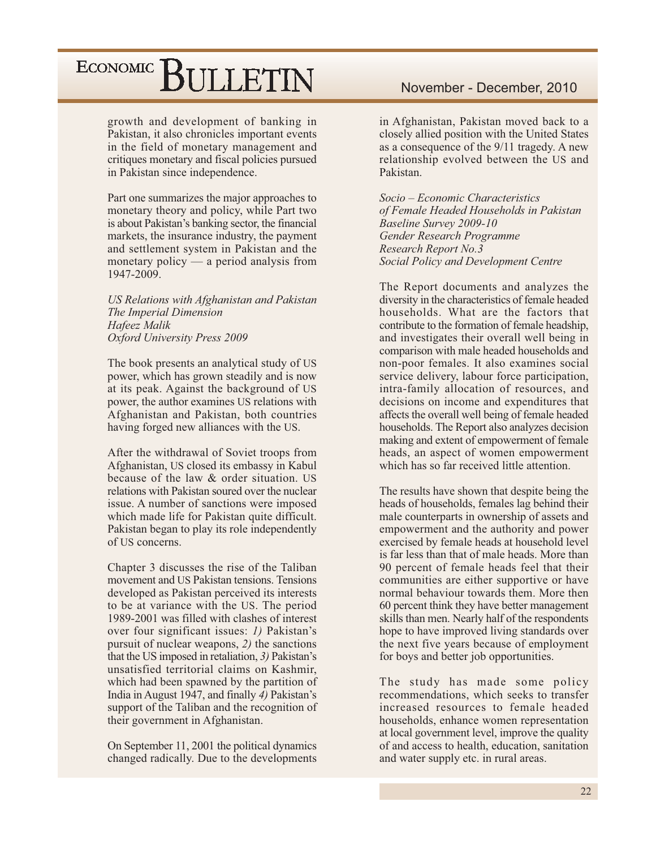growth and development of banking in Pakistan, it also chronicles important events in the field of monetary management and critiques monetary and fiscal policies pursued in Pakistan since independence.

Part one summarizes the major approaches to monetary theory and policy, while Part two is about Pakistan's banking sector, the financial markets, the insurance industry, the payment and settlement system in Pakistan and the monetary policy  $-$  a period analysis from 1947-2009.

US Relations with Afghanistan and Pakistan The Imperial Dimension Hafeez Malik Oxford University Press 2009

The book presents an analytical study of US power, which has grown steadily and is now at its peak. Against the background of US power, the author examines US relations with Afghanistan and Pakistan, both countries having forged new alliances with the US.

After the withdrawal of Soviet troops from Afghanistan, US closed its embassy in Kabul because of the law & order situation. US relations with Pakistan soured over the nuclear issue. A number of sanctions were imposed which made life for Pakistan quite difficult. Pakistan began to play its role independently of US concerns.

Chapter 3 discusses the rise of the Taliban movement and US Pakistan tensions. Tensions developed as Pakistan perceived its interests to be at variance with the US. The period 1989-2001 was filled with clashes of interest over four significant issues: 1) Pakistan's pursuit of nuclear weapons, 2) the sanctions that the US imposed in retaliation, 3) Pakistan's unsatisfied territorial claims on Kashmir, which had been spawned by the partition of India in August 1947, and finally 4) Pakistan's support of the Taliban and the recognition of their government in Afghanistan.

On September 11, 2001 the political dynamics changed radically. Due to the developments

#### November - December, 2010

in Afghanistan, Pakistan moved back to a closely allied position with the United States as a consequence of the 9/11 tragedy. A new relationship evolved between the US and Pakistan.

Socio – Economic Characteristics of Female Headed Households in Pakistan **Baseline Survey 2009-10** Gender Research Programme Research Report No.3 Social Policy and Development Centre

The Report documents and analyzes the diversity in the characteristics of female headed households. What are the factors that contribute to the formation of female headship. and investigates their overall well being in comparison with male headed households and non-poor females. It also examines social service delivery, labour force participation, intra-family allocation of resources, and decisions on income and expenditures that affects the overall well being of female headed households. The Report also analyzes decision making and extent of empowerment of female heads, an aspect of women empowerment which has so far received little attention.

The results have shown that despite being the heads of households, females lag behind their male counterparts in ownership of assets and empowerment and the authority and power exercised by female heads at household level is far less than that of male heads. More than 90 percent of female heads feel that their communities are either supportive or have normal behaviour towards them. More then 60 percent think they have better management skills than men. Nearly half of the respondents hope to have improved living standards over the next five years because of employment for boys and better job opportunities.

The study has made some policy recommendations, which seeks to transfer increased resources to female headed households, enhance women representation at local government level, improve the quality of and access to health, education, sanitation and water supply etc. in rural areas.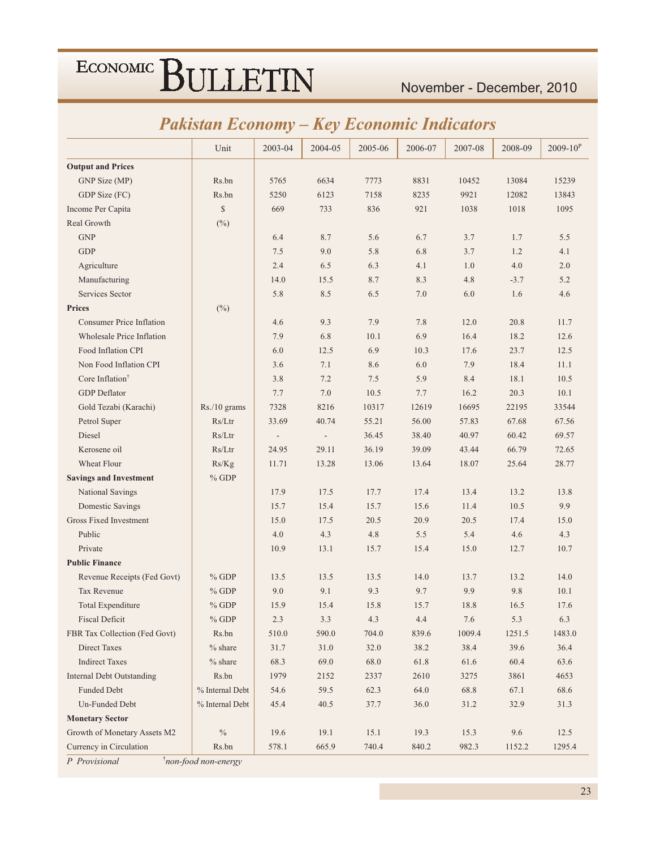#### November - December, 2010

### **Pakistan Economy - Key Economic Indicators**

|                                  | Unit            | 2003-04                  | 2004-05                  | 2005-06 | 2006-07 | 2007-08 | 2008-09 | $2009 - 10^{P}$ |
|----------------------------------|-----------------|--------------------------|--------------------------|---------|---------|---------|---------|-----------------|
| <b>Output and Prices</b>         |                 |                          |                          |         |         |         |         |                 |
| GNP Size (MP)                    | Rs.bn           | 5765                     | 6634                     | 7773    | 8831    | 10452   | 13084   | 15239           |
| GDP Size (FC)                    | Rs.bn           | 5250                     | 6123                     | 7158    | 8235    | 9921    | 12082   | 13843           |
| Income Per Capita                | $\mathbb{S}$    | 669                      | 733                      | 836     | 921     | 1038    | 1018    | 1095            |
| Real Growth                      | $(\%)$          |                          |                          |         |         |         |         |                 |
| <b>GNP</b>                       |                 | 6.4                      | 8.7                      | 5.6     | 6.7     | 3.7     | 1.7     | 5.5             |
| <b>GDP</b>                       |                 | 7.5                      | 9.0                      | 5.8     | 6.8     | 3.7     | 1.2     | 4.1             |
| Agriculture                      |                 | 2.4                      | 6.5                      | 6.3     | 4.1     | 1.0     | 4.0     | 2.0             |
| Manufacturing                    |                 | 14.0                     | 15.5                     | 8.7     | 8.3     | 4.8     | $-3.7$  | 5.2             |
| Services Sector                  |                 | 5.8                      | 8.5                      | 6.5     | 7.0     | 6.0     | 1.6     | 4.6             |
| <b>Prices</b>                    | $(\%)$          |                          |                          |         |         |         |         |                 |
| <b>Consumer Price Inflation</b>  |                 | 4.6                      | 9.3                      | 7.9     | 7.8     | 12.0    | 20.8    | 11.7            |
| <b>Wholesale Price Inflation</b> |                 | 7.9                      | 6.8                      | 10.1    | 6.9     | 16.4    | 18.2    | 12.6            |
| Food Inflation CPI               |                 | 6.0                      | 12.5                     | 6.9     | 10.3    | 17.6    | 23.7    | 12.5            |
| Non Food Inflation CPI           |                 | 3.6                      | 7.1                      | 8.6     | 6.0     | 7.9     | 18.4    | 11.1            |
| Core Inflation <sup>†</sup>      |                 | 3.8                      | 7.2                      | 7.5     | 5.9     | 8.4     | 18.1    | 10.5            |
| <b>GDP</b> Deflator              |                 | 7.7                      | 7.0                      | 10.5    | 7.7     | 16.2    | 20.3    | 10.1            |
| Gold Tezabi (Karachi)            | Rs./10 grams    | 7328                     | 8216                     | 10317   | 12619   | 16695   | 22195   | 33544           |
| Petrol Super                     | Rs/Ltr          | 33.69                    | 40.74                    | 55.21   | 56.00   | 57.83   | 67.68   | 67.56           |
| Diesel                           | Rs/Ltr          | $\overline{\phantom{a}}$ | $\overline{\phantom{a}}$ | 36.45   | 38.40   | 40.97   | 60.42   | 69.57           |
| Kerosene oil                     | Rs/Ltr          | 24.95                    | 29.11                    | 36.19   | 39.09   | 43.44   | 66.79   | 72.65           |
| Wheat Flour                      | Rs/Kg           | 11.71                    | 13.28                    | 13.06   | 13.64   | 18.07   | 25.64   | 28.77           |
| <b>Savings and Investment</b>    | $%$ GDP         |                          |                          |         |         |         |         |                 |
| National Savings                 |                 | 17.9                     | 17.5                     | 17.7    | 17.4    | 13.4    | 13.2    | 13.8            |
| Domestic Savings                 |                 | 15.7                     | 15.4                     | 15.7    | 15.6    | 11.4    | 10.5    | 9.9             |
| Gross Fixed Investment           |                 | 15.0                     | 17.5                     | 20.5    | 20.9    | 20.5    | 17.4    | 15.0            |
| Public                           |                 | 4.0                      | 4.3                      | 4.8     | 5.5     | 5.4     | 4.6     | 4.3             |
| Private                          |                 | 10.9                     | 13.1                     | 15.7    | 15.4    | 15.0    | 12.7    | 10.7            |
| <b>Public Finance</b>            |                 |                          |                          |         |         |         |         |                 |
| Revenue Receipts (Fed Govt)      | $%$ GDP         | 13.5                     | 13.5                     | 13.5    | 14.0    | 13.7    | 13.2    | 14.0            |
| Tax Revenue                      | $%$ GDP         | 9.0                      | 9.1                      | 9.3     | 9.7     | 9.9     | 9.8     | 10.1            |
| <b>Total Expenditure</b>         | $%$ GDP         | 15.9                     | 15.4                     | 15.8    | 15.7    | 18.8    | 16.5    | 17.6            |
| <b>Fiscal Deficit</b>            | $\%$ GDP        | 2.3                      | 3.3                      | 4.3     | $4.4\,$ | $7.6\,$ | 5.3     | $6.3\,$         |
| FBR Tax Collection (Fed Govt)    | Rs.bn           | 510.0                    | 590.0                    | 704.0   | 839.6   | 1009.4  | 1251.5  | 1483.0          |
| Direct Taxes                     | $%$ share       | 31.7                     | 31.0                     | 32.0    | 38.2    | 38.4    | 39.6    | 36.4            |
| <b>Indirect Taxes</b>            | $%$ share       | 68.3                     | 69.0                     | 68.0    | 61.8    | 61.6    | 60.4    | 63.6            |
| <b>Internal Debt Outstanding</b> | Rs.bn           | 1979                     | 2152                     | 2337    | 2610    | 3275    | 3861    | 4653            |
| Funded Debt                      | % Internal Debt | 54.6                     | 59.5                     | 62.3    | 64.0    | 68.8    | 67.1    | 68.6            |
| Un-Funded Debt                   | % Internal Debt | 45.4                     | 40.5                     | 37.7    | 36.0    | 31.2    | 32.9    | 31.3            |
| <b>Monetary Sector</b>           |                 |                          |                          |         |         |         |         |                 |
| Growth of Monetary Assets M2     | $\frac{0}{0}$   | 19.6                     | 19.1                     | 15.1    | 19.3    | 15.3    | 9.6     | 12.5            |
| Currency in Circulation          | Rs.bn           | 578.1                    | 665.9                    | 740.4   | 840.2   | 982.3   | 1152.2  | 1295.4          |

P Provisional

*i*non-food non-energy